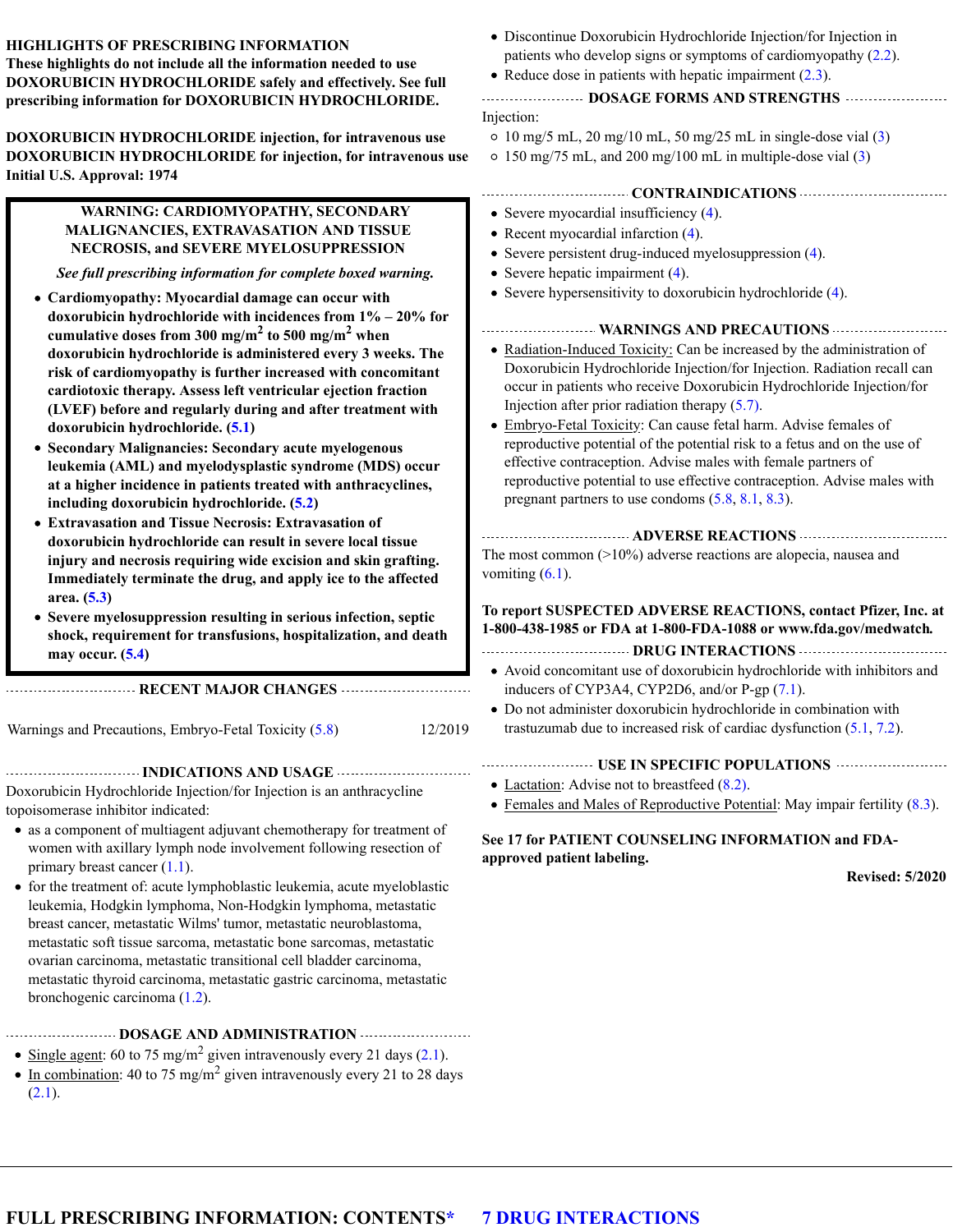| HIGHLIGHTS OF PRESCRIBING INFORMATION<br>These highlights do not include all the information needed to use<br>DOXORUBICIN HYDROCHLORIDE safely and effectively. See full<br>prescribing information for DOXORUBICIN HYDROCHLORIDE.                                                                                                                                                                                                                                                                                                                                                                                                                                                                                                                                                                                                                                                                                                                                                                                                                                                                                                                                                                                                                                                                                                                                          | • Discontinue Doxorubicin Hydrochloride Injection/for Injection in<br>patients who develop signs or symptoms of cardiomyopathy $(2.2)$ .<br>• Reduce dose in patients with hepatic impairment $(2.3)$ .<br>DOSAGE FORMS AND STRENGTHS<br>Injection:                                                                                                                                                                                                                                                                                                                                                                                                                                                                                                                                                                                                                                                                                                                                                                                                                                                                               |
|-----------------------------------------------------------------------------------------------------------------------------------------------------------------------------------------------------------------------------------------------------------------------------------------------------------------------------------------------------------------------------------------------------------------------------------------------------------------------------------------------------------------------------------------------------------------------------------------------------------------------------------------------------------------------------------------------------------------------------------------------------------------------------------------------------------------------------------------------------------------------------------------------------------------------------------------------------------------------------------------------------------------------------------------------------------------------------------------------------------------------------------------------------------------------------------------------------------------------------------------------------------------------------------------------------------------------------------------------------------------------------|-----------------------------------------------------------------------------------------------------------------------------------------------------------------------------------------------------------------------------------------------------------------------------------------------------------------------------------------------------------------------------------------------------------------------------------------------------------------------------------------------------------------------------------------------------------------------------------------------------------------------------------------------------------------------------------------------------------------------------------------------------------------------------------------------------------------------------------------------------------------------------------------------------------------------------------------------------------------------------------------------------------------------------------------------------------------------------------------------------------------------------------|
| DOXORUBICIN HYDROCHLORIDE injection, for intravenous use<br>DOXORUBICIN HYDROCHLORIDE for injection, for intravenous use<br><b>Initial U.S. Approval: 1974</b>                                                                                                                                                                                                                                                                                                                                                                                                                                                                                                                                                                                                                                                                                                                                                                                                                                                                                                                                                                                                                                                                                                                                                                                                              | $\circ$ 10 mg/5 mL, 20 mg/10 mL, 50 mg/25 mL in single-dose vial (3)<br>$\circ$ 150 mg/75 mL, and 200 mg/100 mL in multiple-dose vial (3)                                                                                                                                                                                                                                                                                                                                                                                                                                                                                                                                                                                                                                                                                                                                                                                                                                                                                                                                                                                         |
| WARNING: CARDIOMYOPATHY, SECONDARY<br>MALIGNANCIES, EXTRAVASATION AND TISSUE<br>NECROSIS, and SEVERE MYELOSUPPRESSION<br>See full prescribing information for complete boxed warning.<br>• Cardiomyopathy: Myocardial damage can occur with<br>doxorubicin hydrochloride with incidences from $1\% - 20\%$ for<br>cumulative doses from 300 mg/m <sup>2</sup> to 500 mg/m <sup>2</sup> when<br>doxorubicin hydrochloride is administered every 3 weeks. The<br>risk of cardiomyopathy is further increased with concomitant<br>cardiotoxic therapy. Assess left ventricular ejection fraction<br>(LVEF) before and regularly during and after treatment with<br>doxorubicin hydrochloride. (5.1)<br>• Secondary Malignancies: Secondary acute myelogenous<br>leukemia (AML) and myelodysplastic syndrome (MDS) occur<br>at a higher incidence in patients treated with anthracyclines,<br>including doxorubicin hydrochloride. (5.2)<br>• Extravasation and Tissue Necrosis: Extravasation of<br>doxorubicin hydrochloride can result in severe local tissue<br>injury and necrosis requiring wide excision and skin grafting.<br>Immediately terminate the drug, and apply ice to the affected<br>area. (5.3)<br>• Severe myelosuppression resulting in serious infection, septic<br>shock, requirement for transfusions, hospitalization, and death<br>may occur. $(5.4)$ | • Severe myocardial insufficiency $(4)$ .<br>• Recent myocardial infarction $(4)$ .<br>• Severe persistent drug-induced myelosuppression (4).<br>• Severe hepatic impairment $(4)$ .<br>• Severe hypersensitivity to doxorubicin hydrochloride (4).<br>• Radiation-Induced Toxicity: Can be increased by the administration of<br>Doxorubicin Hydrochloride Injection/for Injection. Radiation recall can<br>occur in patients who receive Doxorubicin Hydrochloride Injection/for<br>Injection after prior radiation therapy $(5.7)$ .<br>• Embryo-Fetal Toxicity: Can cause fetal harm. Advise females of<br>reproductive potential of the potential risk to a fetus and on the use of<br>effective contraception. Advise males with female partners of<br>reproductive potential to use effective contraception. Advise males with<br>pregnant partners to use condoms $(5.8, 8.1, 8.3)$ .<br>The most common $(>10\%)$ adverse reactions are alopecia, nausea and<br>vomiting $(6.1)$ .<br>To report SUSPECTED ADVERSE REACTIONS, contact Pfizer, Inc. at<br>1-800-438-1985 or FDA at 1-800-FDA-1088 or www.fda.gov/medwatch. |
|                                                                                                                                                                                                                                                                                                                                                                                                                                                                                                                                                                                                                                                                                                                                                                                                                                                                                                                                                                                                                                                                                                                                                                                                                                                                                                                                                                             | • Avoid concomitant use of doxorubicin hydrochloride with inhibitors and                                                                                                                                                                                                                                                                                                                                                                                                                                                                                                                                                                                                                                                                                                                                                                                                                                                                                                                                                                                                                                                          |
| RECENT MAJOR CHANGES<br>12/2019<br>Warnings and Precautions, Embryo-Fetal Toxicity (5.8)                                                                                                                                                                                                                                                                                                                                                                                                                                                                                                                                                                                                                                                                                                                                                                                                                                                                                                                                                                                                                                                                                                                                                                                                                                                                                    | inducers of CYP3A4, CYP2D6, and/or P-gp (7.1).<br>• Do not administer doxorubicin hydrochloride in combination with<br>trastuzumab due to increased risk of cardiac dysfunction $(5.1, 7.2)$ .<br>USE IN SPECIFIC POPULATIONS <b>CONSTITUTE</b>                                                                                                                                                                                                                                                                                                                                                                                                                                                                                                                                                                                                                                                                                                                                                                                                                                                                                   |
| Doxorubicin Hydrochloride Injection/for Injection is an anthracycline<br>topoisomerase inhibitor indicated:<br>• as a component of multiagent adjuvant chemotherapy for treatment of<br>women with axillary lymph node involvement following resection of<br>primary breast cancer $(1.1)$ .<br>• for the treatment of: acute lymphoblastic leukemia, acute myeloblastic<br>leukemia, Hodgkin lymphoma, Non-Hodgkin lymphoma, metastatic<br>breast cancer, metastatic Wilms' tumor, metastatic neuroblastoma,<br>metastatic soft tissue sarcoma, metastatic bone sarcomas, metastatic<br>ovarian carcinoma, metastatic transitional cell bladder carcinoma,<br>metastatic thyroid carcinoma, metastatic gastric carcinoma, metastatic<br>bronchogenic carcinoma $(1.2)$ .                                                                                                                                                                                                                                                                                                                                                                                                                                                                                                                                                                                                   | • Lactation: Advise not to breastfeed $(8.2)$ .<br>• Females and Males of Reproductive Potential: May impair fertility $(8.3)$ .<br>See 17 for PATIENT COUNSELING INFORMATION and FDA-<br>approved patient labeling.<br><b>Revised: 5/2020</b>                                                                                                                                                                                                                                                                                                                                                                                                                                                                                                                                                                                                                                                                                                                                                                                                                                                                                    |

#### **DOSAGE AND ADMINISTRATION**

- Single agent: 60 to 75 mg/m<sup>2</sup> given intravenously every 21 days  $(2.1)$ . 2
- In combination: 40 to 75 mg/m<sup>2</sup> given intravenously every 21 to 28 days  $(2.1).$ 2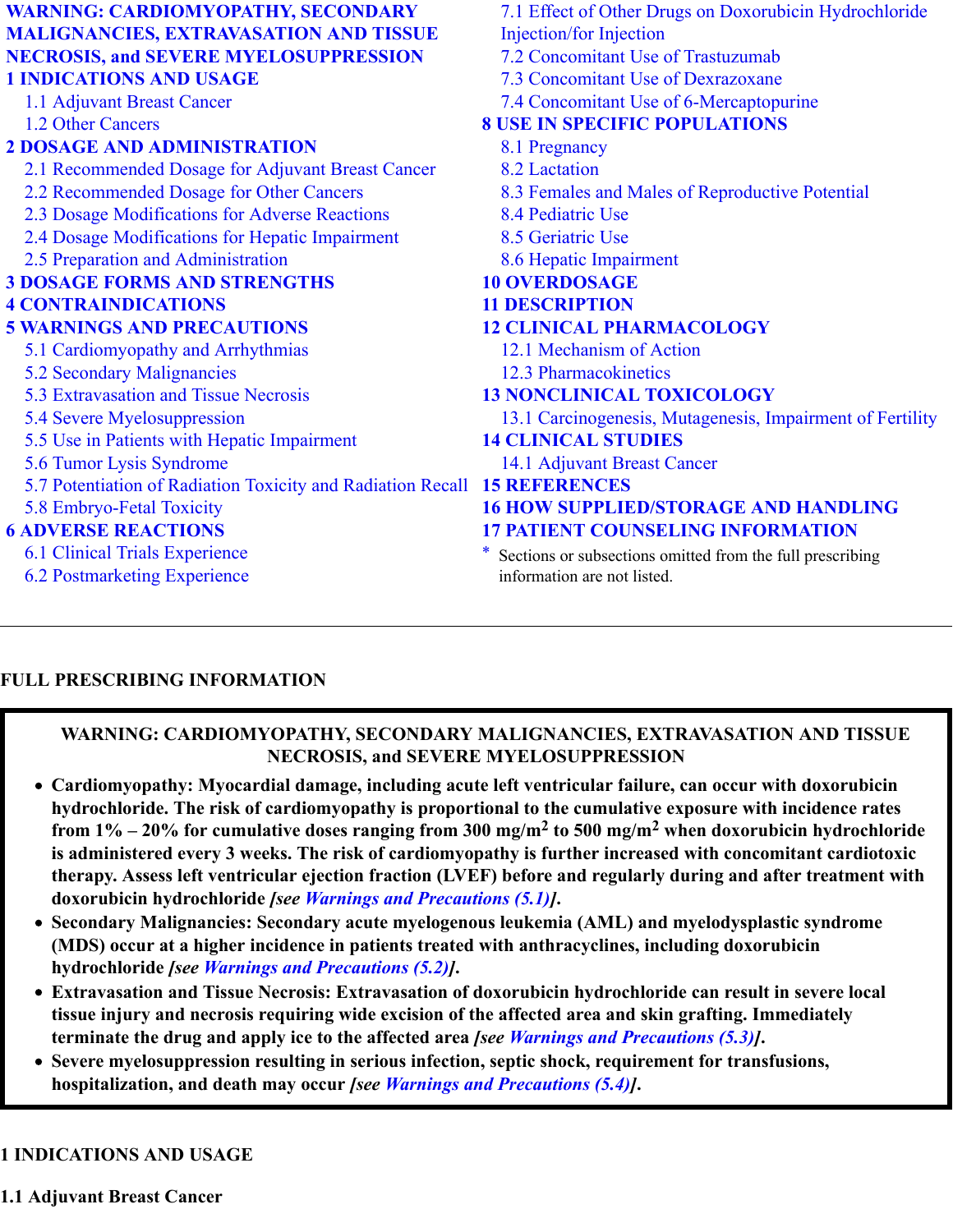| <b>WARNING: CARDIOMYOPATHY, SECONDARY</b>                   | 7.1 Effect of Other Drugs on Doxorubicin Hydrochloride    |
|-------------------------------------------------------------|-----------------------------------------------------------|
| <b>MALIGNANCIES, EXTRAVASATION AND TISSUE</b>               | <b>Injection/for Injection</b>                            |
| <b>NECROSIS, and SEVERE MYELOSUPPRESSION</b>                | 7.2 Concomitant Use of Trastuzumab                        |
| <b>1 INDICATIONS AND USAGE</b>                              | 7.3 Concomitant Use of Dexrazoxane                        |
| 1.1 Adjuvant Breast Cancer                                  | 7.4 Concomitant Use of 6-Mercaptopurine                   |
| 1.2 Other Cancers                                           | <b>8 USE IN SPECIFIC POPULATIONS</b>                      |
| <b>2 DOSAGE AND ADMINISTRATION</b>                          | 8.1 Pregnancy                                             |
| 2.1 Recommended Dosage for Adjuvant Breast Cancer           | 8.2 Lactation                                             |
| 2.2 Recommended Dosage for Other Cancers                    | 8.3 Females and Males of Reproductive Potential           |
| 2.3 Dosage Modifications for Adverse Reactions              | 8.4 Pediatric Use                                         |
| 2.4 Dosage Modifications for Hepatic Impairment             | 8.5 Geriatric Use                                         |
| 2.5 Preparation and Administration                          | 8.6 Hepatic Impairment                                    |
| <b>3 DOSAGE FORMS AND STRENGTHS</b>                         | <b>10 OVERDOSAGE</b>                                      |
| <b>4 CONTRAINDICATIONS</b>                                  | <b>11 DESCRIPTION</b>                                     |
| <b>5 WARNINGS AND PRECAUTIONS</b>                           | <b>12 CLINICAL PHARMACOLOGY</b>                           |
| 5.1 Cardiomyopathy and Arrhythmias                          | 12.1 Mechanism of Action                                  |
| 5.2 Secondary Malignancies                                  | 12.3 Pharmacokinetics                                     |
| 5.3 Extravasation and Tissue Necrosis                       | <b>13 NONCLINICAL TOXICOLOGY</b>                          |
| 5.4 Severe Myelosuppression                                 | 13.1 Carcinogenesis, Mutagenesis, Impairment of Fertility |
| 5.5 Use in Patients with Hepatic Impairment                 | <b>14 CLINICAL STUDIES</b>                                |
| 5.6 Tumor Lysis Syndrome                                    | 14.1 Adjuvant Breast Cancer                               |
| 5.7 Potentiation of Radiation Toxicity and Radiation Recall | <b>15 REFERENCES</b>                                      |
| 5.8 Embryo-Fetal Toxicity                                   | <b>16 HOW SUPPLIED/STORAGE AND HANDLING</b>               |
|                                                             |                                                           |
| <b>6 ADVERSE REACTIONS</b>                                  | <b>17 PATIENT COUNSELING INFORMATION</b>                  |

\* Sections or subsections omitted from the full prescribing information are not listed.

#### **FULL PRESCRIBING INFORMATION**

6.2 Postmarketing Experience

#### **WARNING: CARDIOMYOPATHY, SECONDARY MALIGNANCIES, EXTRAVASATION AND TISSUE NECROSIS, and SEVERE MYELOSUPPRESSION**

- **Cardiomyopathy: Myocardial damage, including acute left ventricular failure, can occur with doxorubicin hydrochloride. The risk of cardiomyopathy is proportional to the cumulative exposure with incidence rates** from  $1\%$  –  $20\%$  for cumulative doses ranging from  $300$  mg/m $^2$  to  $500$  mg/m $^2$  when doxorubicin hydrochloride **is administered every 3 weeks. The risk of cardiomyopathy is further increased with concomitant cardiotoxic therapy. Assess left ventricular ejection fraction (LVEF) before and regularly during and after treatment with doxorubicin hydrochloride** *[see Warnings and Precautions (5.1)]***.**
- **Secondary Malignancies: Secondary acute myelogenous leukemia (AML) and myelodysplastic syndrome (MDS) occur at a higher incidence in patients treated with anthracyclines, including doxorubicin hydrochloride** *[see Warnings and Precautions (5.2)]***.**
- **Extravasation and Tissue Necrosis: Extravasation of doxorubicin hydrochloride can result in severe local tissue injury and necrosis requiring wide excision of the affected area and skin grafting. Immediately terminate the drug and apply ice to the affected area** *[see Warnings and Precautions (5.3)]***.**
- **Severe myelosuppression resulting in serious infection, septic shock, requirement for transfusions, hospitalization, and death may occur** *[see Warnings and Precautions (5.4)]***.**

#### **1 INDICATIONS AND USAGE**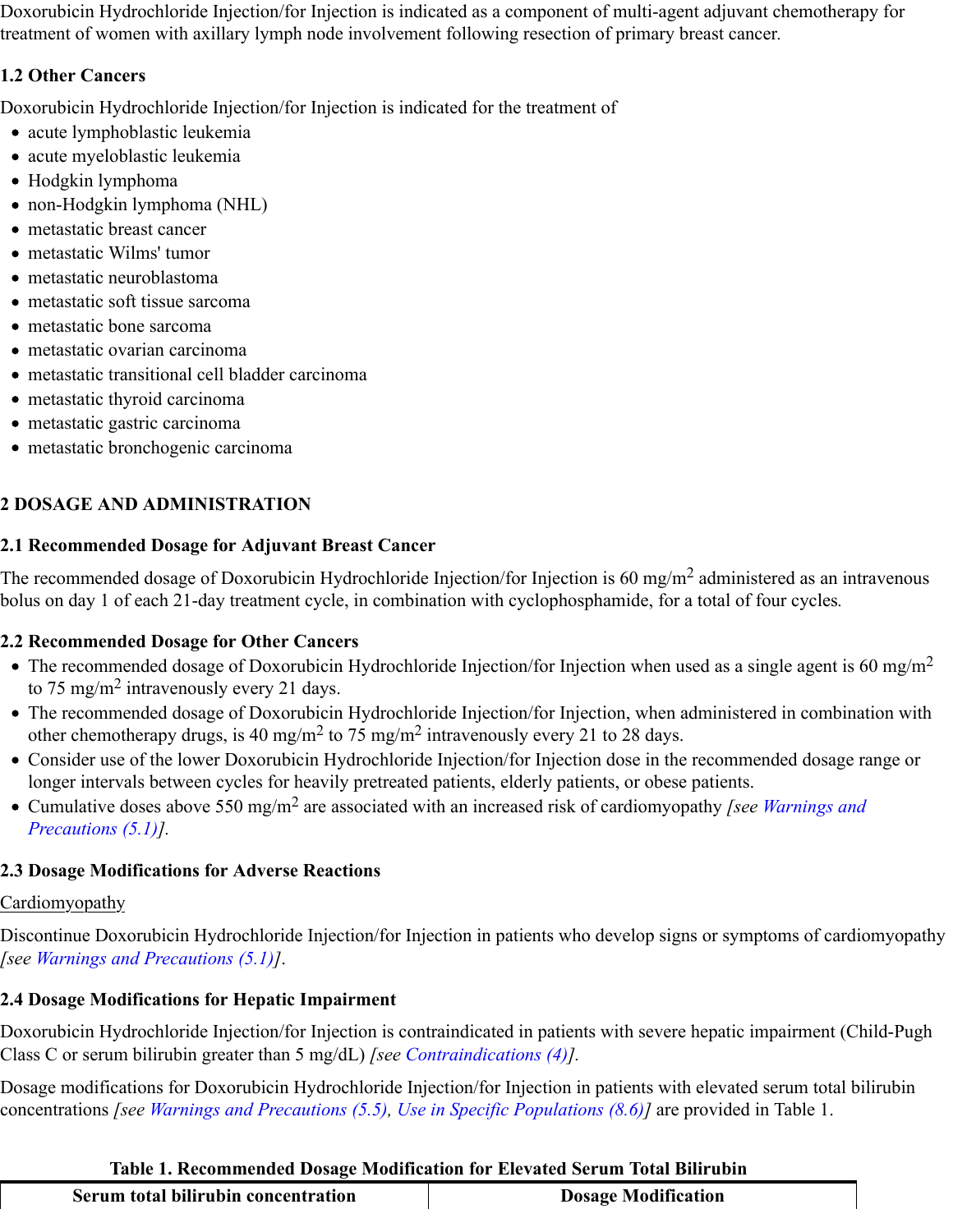Doxorubicin Hydrochloride Injection/for Injection is indicated as a component of multi-agent adjuvant chemotherapy for treatment of women with axillary lymph node involvement following resection of primary breast cancer*.*

# **1.2 Other Cancers**

Doxorubicin Hydrochloride Injection/for Injection is indicated for the treatment of

- acute lymphoblastic leukemia
- acute myeloblastic leukemia
- Hodgkin lymphoma
- non-Hodgkin lymphoma (NHL)
- metastatic breast cancer
- metastatic Wilms' tumor
- metastatic neuroblastoma
- metastatic soft tissue sarcoma
- metastatic bone sarcoma
- metastatic ovarian carcinoma
- metastatic transitional cell bladder carcinoma
- metastatic thyroid carcinoma
- metastatic gastric carcinoma
- metastatic bronchogenic carcinoma

# **2 DOSAGE AND ADMINISTRATION**

# **2.1 Recommended Dosage for Adjuvant Breast Cancer**

The recommended dosage of Doxorubicin Hydrochloride Injection/for Injection is 60 mg/m<sup>2</sup> administered as an intravenous bolus on day 1 of each 21-day treatment cycle, in combination with cyclophosphamide, for a total of four cycles*.*

# **2.2 Recommended Dosage for Other Cancers**

- The recommended dosage of Doxorubicin Hydrochloride Injection/for Injection when used as a single agent is 60 mg/m<sup>2</sup> to 75 mg/m<sup>2</sup> intravenously every 21 days.
- The recommended dosage of Doxorubicin Hydrochloride Injection/for Injection, when administered in combination with other chemotherapy drugs, is 40 mg/m<sup>2</sup> to 75 mg/m<sup>2</sup> intravenously every 21 to 28 days.
- Consider use of the lower Doxorubicin Hydrochloride Injection/for Injection dose in the recommended dosage range or longer intervals between cycles for heavily pretreated patients, elderly patients, or obese patients.
- Cumulative doses above 550 mg/m<sup>2</sup> are associated with an increased risk of cardiomyopathy *[see Warnings and Precautions (5.1)].*

# **2.3 Dosage Modifications for Adverse Reactions**

# Cardiomyopathy

Discontinue Doxorubicin Hydrochloride Injection/for Injection in patients who develop signs or symptoms of cardiomyopathy *[see Warnings and Precautions (5.1)]*.

# **2.4 Dosage Modifications for Hepatic Impairment**

Doxorubicin Hydrochloride Injection/for Injection is contraindicated in patients with severe hepatic impairment (Child-Pugh Class C or serum bilirubin greater than 5 mg/dL) *[see Contraindications (4)].*

Dosage modifications for Doxorubicin Hydrochloride Injection/for Injection in patients with elevated serum total bilirubin concentrations *[see Warnings and Precautions (5.5), Use in Specific Populations (8.6)]* are provided in Table 1.

# **Table 1. Recommended Dosage Modification for Elevated Serum Total Bilirubin**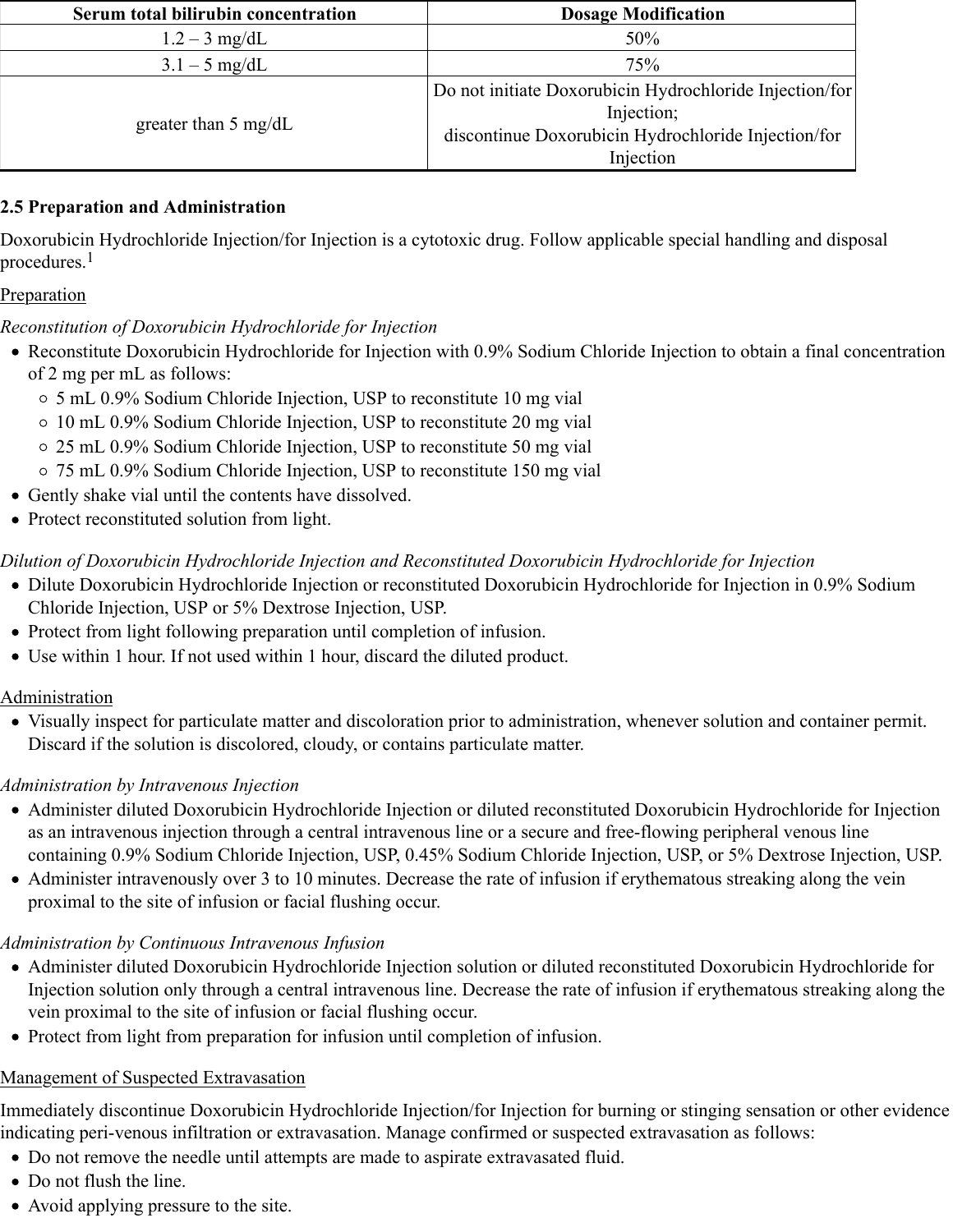| Serum total bilirubin concentration | <b>Dosage Modification</b>                                                                                                                |
|-------------------------------------|-------------------------------------------------------------------------------------------------------------------------------------------|
| $1.2 - 3$ mg/dL                     | 50%                                                                                                                                       |
| $3.1 - 5$ mg/dL                     | 75%                                                                                                                                       |
| greater than $5 \text{ mg/dL}$      | Do not initiate Doxorubicin Hydrochloride Injection/for<br>Injection;<br>discontinue Doxorubicin Hydrochloride Injection/for<br>Injection |

## **2.5 Preparation and Administration**

Doxorubicin Hydrochloride Injection/for Injection is a cytotoxic drug. Follow applicable special handling and disposal procedures. 1

## Preparation

## *Reconstitution of Doxorubicin Hydrochloride for Injection*

- Reconstitute Doxorubicin Hydrochloride for Injection with 0.9% Sodium Chloride Injection to obtain a final concentration of 2 mg per mL as follows:
	- 5 mL 0.9% Sodium Chloride Injection, USP to reconstitute 10 mg vial
	- 10 mL 0.9% Sodium Chloride Injection, USP to reconstitute 20 mg vial
	- 25 mL 0.9% Sodium Chloride Injection, USP to reconstitute 50 mg vial
	- 75 mL 0.9% Sodium Chloride Injection, USP to reconstitute 150 mg vial
- Gently shake vial until the contents have dissolved.
- Protect reconstituted solution from light.

# *Dilution of Doxorubicin Hydrochloride Injection and Reconstituted Doxorubicin Hydrochloride for Injection*

- Dilute Doxorubicin Hydrochloride Injection or reconstituted Doxorubicin Hydrochloride for Injection in 0.9% Sodium Chloride Injection, USP or 5% Dextrose Injection, USP.
- Protect from light following preparation until completion of infusion.
- Use within 1 hour. If not used within 1 hour, discard the diluted product.

## Administration

Visually inspect for particulate matter and discoloration prior to administration, whenever solution and container permit. Discard if the solution is discolored, cloudy, or contains particulate matter.

# *Administration by Intravenous Injection*

- Administer diluted Doxorubicin Hydrochloride Injection or diluted reconstituted Doxorubicin Hydrochloride for Injection as an intravenous injection through a central intravenous line or a secure and free-flowing peripheral venous line containing 0.9% Sodium Chloride Injection, USP, 0.45% Sodium Chloride Injection, USP, or 5% Dextrose Injection, USP.
- Administer intravenously over 3 to 10 minutes. Decrease the rate of infusion if erythematous streaking along the vein proximal to the site of infusion or facial flushing occur.

# *Administration by Continuous Intravenous Infusion*

- Administer diluted Doxorubicin Hydrochloride Injection solution or diluted reconstituted Doxorubicin Hydrochloride for Injection solution only through a central intravenous line. Decrease the rate of infusion if erythematous streaking along the vein proximal to the site of infusion or facial flushing occur.
- Protect from light from preparation for infusion until completion of infusion.

# Management of Suspected Extravasation

Immediately discontinue Doxorubicin Hydrochloride Injection/for Injection for burning or stinging sensation or other evidence indicating peri-venous infiltration or extravasation. Manage confirmed or suspected extravasation as follows:

- Do not remove the needle until attempts are made to aspirate extravasated fluid.
- Do not flush the line.
- Avoid applying pressure to the site.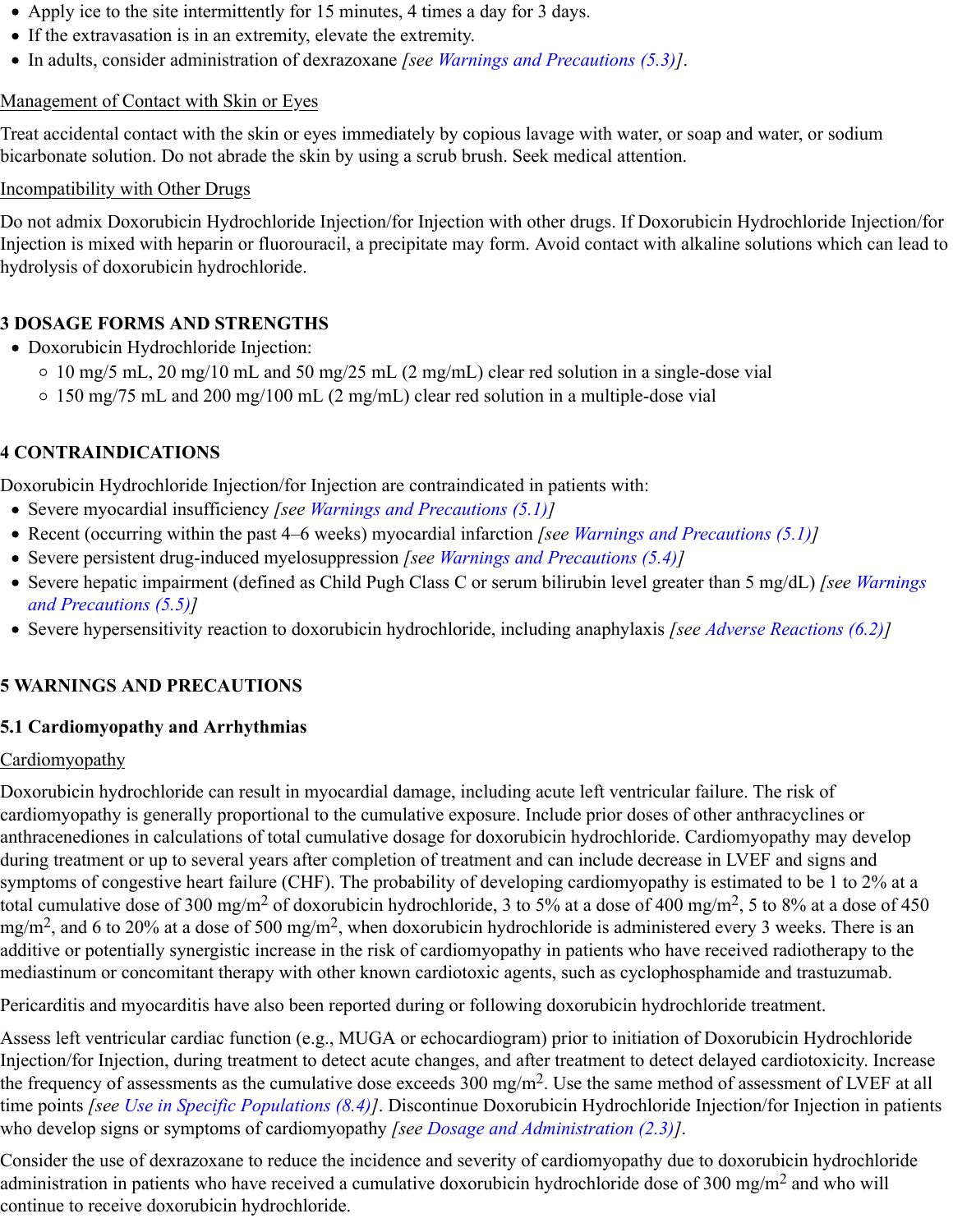- Apply ice to the site intermittently for 15 minutes, 4 times a day for 3 days.
- If the extravasation is in an extremity, elevate the extremity.
- In adults, consider administration of dexrazoxane *[see Warnings and Precautions (5.3)]*.

#### Management of Contact with Skin or Eyes

Treat accidental contact with the skin or eyes immediately by copious lavage with water, or soap and water, or sodium bicarbonate solution. Do not abrade the skin by using a scrub brush. Seek medical attention.

#### Incompatibility with Other Drugs

Do not admix Doxorubicin Hydrochloride Injection/for Injection with other drugs. If Doxorubicin Hydrochloride Injection/for Injection is mixed with heparin or fluorouracil, a precipitate may form. Avoid contact with alkaline solutions which can lead to hydrolysis of doxorubicin hydrochloride.

## **3 DOSAGE FORMS AND STRENGTHS**

- Doxorubicin Hydrochloride Injection:
	- 10 mg/5 mL, 20 mg/10 mL and 50 mg/25 mL (2 mg/mL) clear red solution in a single-dose vial
	- 150 mg/75 mL and 200 mg/100 mL (2 mg/mL) clear red solution in a multiple-dose vial

## **4 CONTRAINDICATIONS**

Doxorubicin Hydrochloride Injection/for Injection are contraindicated in patients with:

- Severe myocardial insufficiency *[see Warnings and Precautions (5.1)]*
- Recent (occurring within the past 4–6 weeks) myocardial infarction *[see Warnings and Precautions (5.1)]*
- Severe persistent drug-induced myelosuppression *[see Warnings and Precautions (5.4)]*
- Severe hepatic impairment (defined as Child Pugh Class C or serum bilirubin level greater than 5 mg/dL) *[see Warnings and Precautions (5.5)]*
- Severe hypersensitivity reaction to doxorubicin hydrochloride, including anaphylaxis *[see Adverse Reactions (6.2)]*

# **5 WARNINGS AND PRECAUTIONS**

## **5.1 Cardiomyopathy and Arrhythmias**

## Cardiomyopathy

Doxorubicin hydrochloride can result in myocardial damage, including acute left ventricular failure. The risk of cardiomyopathy is generally proportional to the cumulative exposure. Include prior doses of other anthracyclines or anthracenediones in calculations of total cumulative dosage for doxorubicin hydrochloride. Cardiomyopathy may develop during treatment or up to several years after completion of treatment and can include decrease in LVEF and signs and symptoms of congestive heart failure (CHF). The probability of developing cardiomyopathy is estimated to be 1 to 2% at a total cumulative dose of 300 mg/m<sup>2</sup> of doxorubicin hydrochloride, 3 to 5% at a dose of 400 mg/m<sup>2</sup>, 5 to 8% at a dose of 450 mg/m<sup>2</sup>, and 6 to 20% at a dose of 500 mg/m<sup>2</sup>, when doxorubicin hydrochloride is administered every 3 weeks. There is an additive or potentially synergistic increase in the risk of cardiomyopathy in patients who have received radiotherapy to the mediastinum or concomitant therapy with other known cardiotoxic agents, such as cyclophosphamide and trastuzumab.

Pericarditis and myocarditis have also been reported during or following doxorubicin hydrochloride treatment.

Assess left ventricular cardiac function (e.g., MUGA or echocardiogram) prior to initiation of Doxorubicin Hydrochloride Injection/for Injection, during treatment to detect acute changes, and after treatment to detect delayed cardiotoxicity. Increase the frequency of assessments as the cumulative dose exceeds  $300$  mg/m<sup>2</sup>. Use the same method of assessment of LVEF at all time points *[see Use in Specific Populations (8.4)]*. Discontinue Doxorubicin Hydrochloride Injection/for Injection in patients who develop signs or symptoms of cardiomyopathy *[see Dosage and Administration (2.3)]*.

Consider the use of dexrazoxane to reduce the incidence and severity of cardiomyopathy due to doxorubicin hydrochloride administration in patients who have received a cumulative doxorubicin hydrochloride dose of 300 mg/m<sup>2</sup> and who will continue to receive doxorubicin hydrochloride.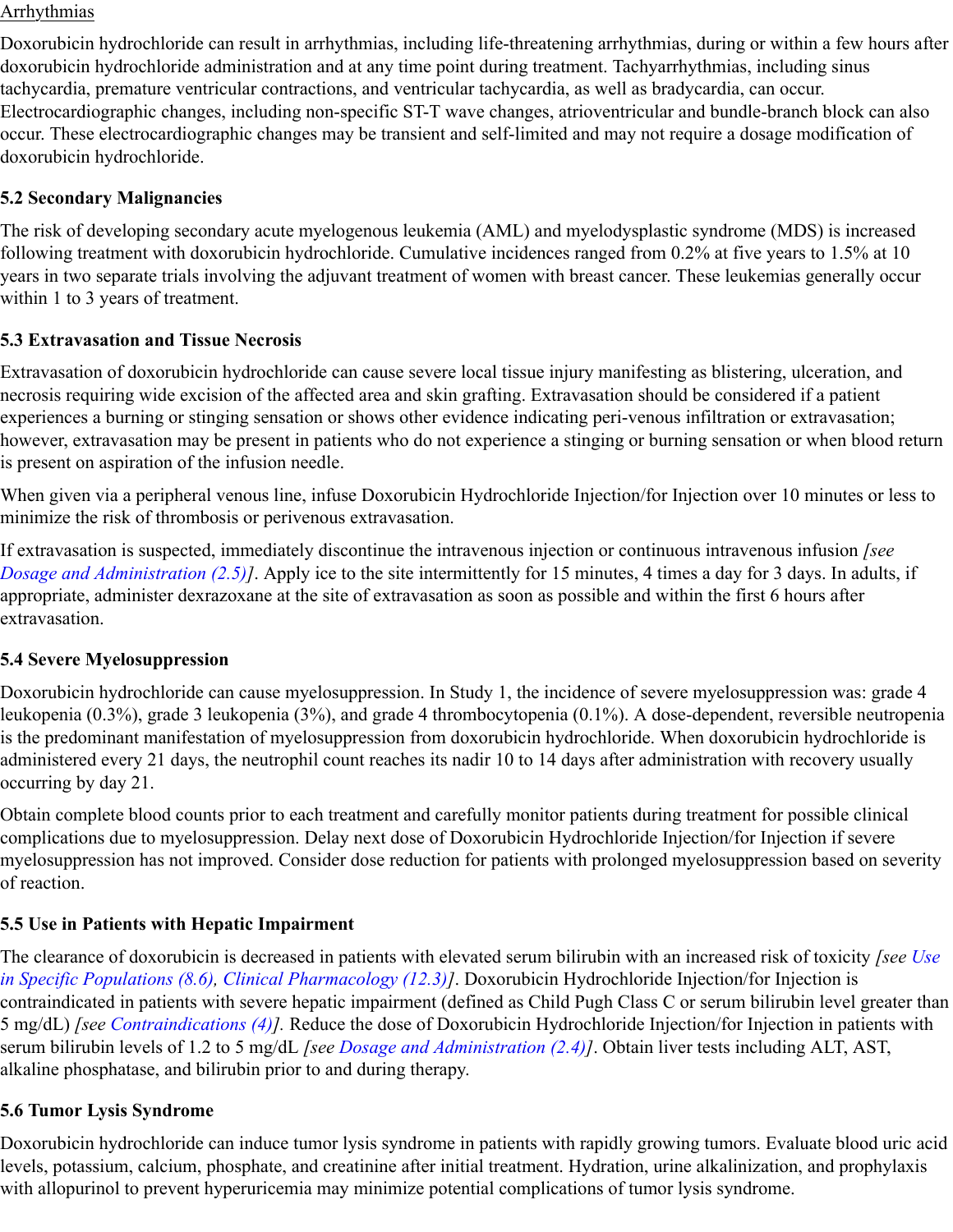#### Arrhythmias

Doxorubicin hydrochloride can result in arrhythmias, including life-threatening arrhythmias, during or within a few hours after doxorubicin hydrochloride administration and at any time point during treatment. Tachyarrhythmias, including sinus tachycardia, premature ventricular contractions, and ventricular tachycardia, as well as bradycardia, can occur. Electrocardiographic changes, including non-specific ST-T wave changes, atrioventricular and bundle-branch block can also occur. These electrocardiographic changes may be transient and self-limited and may not require a dosage modification of doxorubicin hydrochloride.

#### **5.2 Secondary Malignancies**

The risk of developing secondary acute myelogenous leukemia (AML) and myelodysplastic syndrome (MDS) is increased following treatment with doxorubicin hydrochloride. Cumulative incidences ranged from 0.2% at five years to 1.5% at 10 years in two separate trials involving the adjuvant treatment of women with breast cancer. These leukemias generally occur within 1 to 3 years of treatment.

#### **5.3 Extravasation and Tissue Necrosis**

Extravasation of doxorubicin hydrochloride can cause severe local tissue injury manifesting as blistering, ulceration, and necrosis requiring wide excision of the affected area and skin grafting. Extravasation should be considered if a patient experiences a burning or stinging sensation or shows other evidence indicating peri-venous infiltration or extravasation; however, extravasation may be present in patients who do not experience a stinging or burning sensation or when blood return is present on aspiration of the infusion needle.

When given via a peripheral venous line, infuse Doxorubicin Hydrochloride Injection/for Injection over 10 minutes or less to minimize the risk of thrombosis or perivenous extravasation.

If extravasation is suspected, immediately discontinue the intravenous injection or continuous intravenous infusion *[see Dosage and Administration (2.5)]*. Apply ice to the site intermittently for 15 minutes, 4 times a day for 3 days. In adults, if appropriate, administer dexrazoxane at the site of extravasation as soon as possible and within the first 6 hours after extravasation.

#### **5.4 Severe Myelosuppression**

Doxorubicin hydrochloride can cause myelosuppression. In Study 1, the incidence of severe myelosuppression was: grade 4 leukopenia (0.3%), grade 3 leukopenia (3%), and grade 4 thrombocytopenia (0.1%). A dose-dependent, reversible neutropenia is the predominant manifestation of myelosuppression from doxorubicin hydrochloride. When doxorubicin hydrochloride is administered every 21 days, the neutrophil count reaches its nadir 10 to 14 days after administration with recovery usually occurring by day 21.

Obtain complete blood counts prior to each treatment and carefully monitor patients during treatment for possible clinical complications due to myelosuppression. Delay next dose of Doxorubicin Hydrochloride Injection/for Injection if severe myelosuppression has not improved. Consider dose reduction for patients with prolonged myelosuppression based on severity of reaction.

## **5.5 Use in Patients with Hepatic Impairment**

The clearance of doxorubicin is decreased in patients with elevated serum bilirubin with an increased risk of toxicity *[see Use in Specific Populations (8.6), Clinical Pharmacology (12.3)]*. Doxorubicin Hydrochloride Injection/for Injection is contraindicated in patients with severe hepatic impairment (defined as Child Pugh Class C or serum bilirubin level greater than 5 mg/dL) *[see Contraindications (4)].* Reduce the dose of Doxorubicin Hydrochloride Injection/for Injection in patients with serum bilirubin levels of 1.2 to 5 mg/dL *[see Dosage and Administration (2.4)]*. Obtain liver tests including ALT, AST, alkaline phosphatase, and bilirubin prior to and during therapy.

#### **5.6 Tumor Lysis Syndrome**

Doxorubicin hydrochloride can induce tumor lysis syndrome in patients with rapidly growing tumors. Evaluate blood uric acid levels, potassium, calcium, phosphate, and creatinine after initial treatment. Hydration, urine alkalinization, and prophylaxis with allopurinol to prevent hyperuricemia may minimize potential complications of tumor lysis syndrome.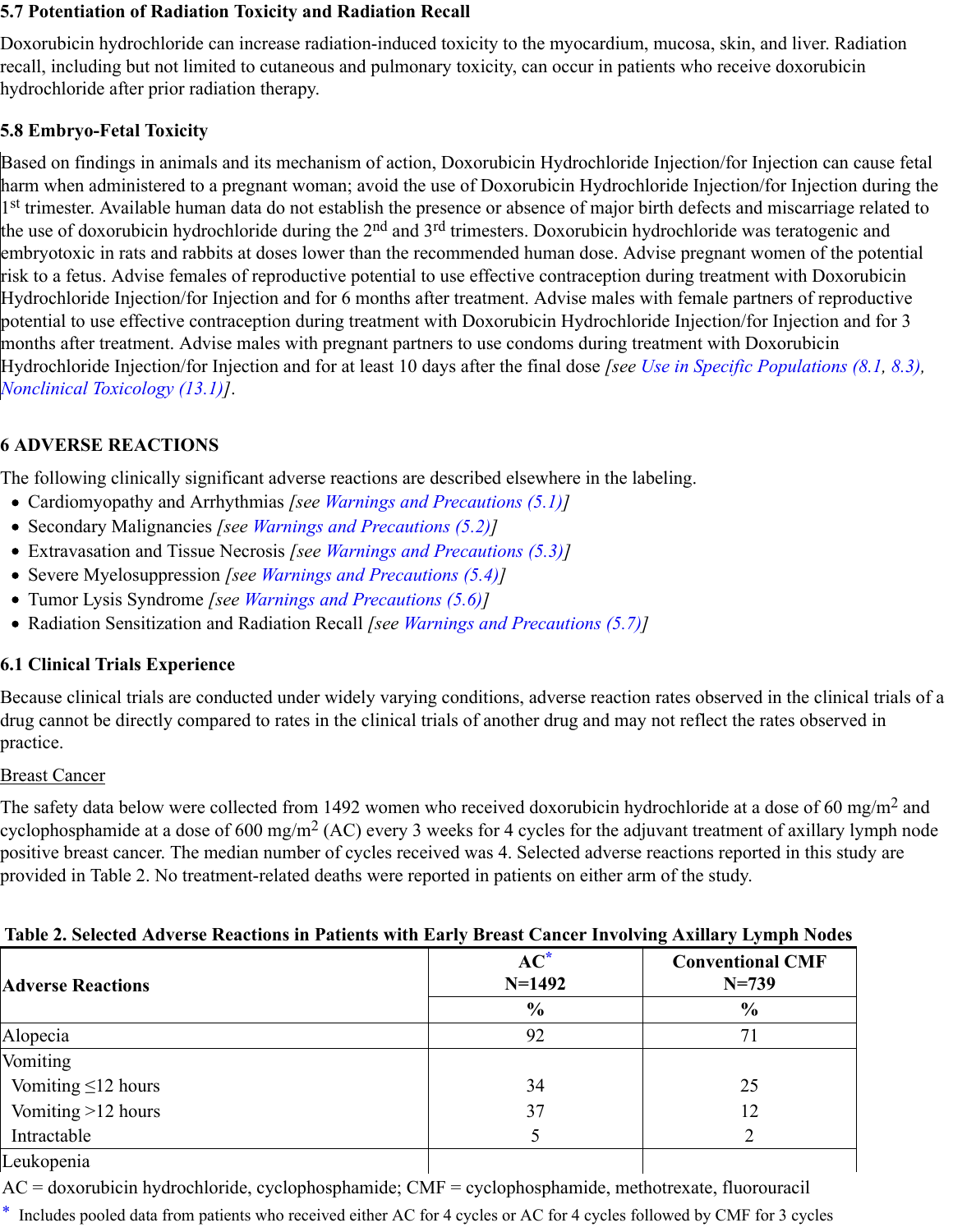#### **5.7 Potentiation of Radiation Toxicity and Radiation Recall**

Doxorubicin hydrochloride can increase radiation-induced toxicity to the myocardium, mucosa, skin, and liver. Radiation recall, including but not limited to cutaneous and pulmonary toxicity, can occur in patients who receive doxorubicin hydrochloride after prior radiation therapy.

## **5.8 Embryo-Fetal Toxicity**

Based on findings in animals and its mechanism of action, Doxorubicin Hydrochloride Injection/for Injection can cause fetal harm when administered to a pregnant woman; avoid the use of Doxorubicin Hydrochloride Injection/for Injection during the 1st trimester. Available human data do not establish the presence or absence of major birth defects and miscarriage related to the use of doxorubicin hydrochloride during the 2<sup>nd</sup> and 3<sup>rd</sup> trimesters. Doxorubicin hydrochloride was teratogenic and embryotoxic in rats and rabbits at doses lower than the recommended human dose. Advise pregnant women of the potential risk to a fetus. Advise females of reproductive potential to use effective contraception during treatment with Doxorubicin Hydrochloride Injection/for Injection and for 6 months after treatment. Advise males with female partners of reproductive potential to use effective contraception during treatment with Doxorubicin Hydrochloride Injection/for Injection and for 3 months after treatment. Advise males with pregnant partners to use condoms during treatment with Doxorubicin Hydrochloride Injection/for Injection and for at least 10 days after the final dose *[see Use in Specific Populations (8.1, 8.3), Nonclinical Toxicology (13.1)]*.

## **6 ADVERSE REACTIONS**

The following clinically significant adverse reactions are described elsewhere in the labeling.

- Cardiomyopathy and Arrhythmias *[see Warnings and Precautions (5.1)]*
- Secondary Malignancies *[see Warnings and Precautions (5.2)]*
- Extravasation and Tissue Necrosis *[see Warnings and Precautions (5.3)]*
- Severe Myelosuppression *[see Warnings and Precautions (5.4)]*
- Tumor Lysis Syndrome *[see Warnings and Precautions (5.6)]*
- Radiation Sensitization and Radiation Recall *[see Warnings and Precautions (5.7)]*

## **6.1 Clinical Trials Experience**

Because clinical trials are conducted under widely varying conditions, adverse reaction rates observed in the clinical trials of a drug cannot be directly compared to rates in the clinical trials of another drug and may not reflect the rates observed in practice.

#### Breast Cancer

The safety data below were collected from 1492 women who received doxorubicin hydrochloride at a dose of 60 mg/m<sup>2</sup> and cyclophosphamide at a dose of 600 mg/m<sup>2</sup> (AC) every 3 weeks for 4 cycles for the adjuvant treatment of axillary lymph node positive breast cancer. The median number of cycles received was 4. Selected adverse reactions reported in this study are provided in Table 2. No treatment-related deaths were reported in patients on either arm of the study.

## **Table 2. Selected Adverse Reactions in Patients with Early Breast Cancer Involving Axillary Lymph Nodes**

|                          |                    | $\tilde{}$<br>.                      |  |  |
|--------------------------|--------------------|--------------------------------------|--|--|
| <b>Adverse Reactions</b> | $AC^*$<br>$N=1492$ | <b>Conventional CMF</b><br>$N = 739$ |  |  |
|                          | $\frac{0}{0}$      | $\frac{6}{9}$                        |  |  |
| Alopecia                 | 92                 |                                      |  |  |
| Vomiting                 |                    |                                      |  |  |
| Vomiting $\leq 12$ hours | 34                 | 25                                   |  |  |
| Vomiting >12 hours       | 37                 | 12                                   |  |  |
| Intractable              |                    |                                      |  |  |
| Leukopenia               |                    |                                      |  |  |

AC = doxorubicin hydrochloride, cyclophosphamide; CMF = cyclophosphamide, methotrexate, fluorouracil

\* Includes pooled data from patients who received either AC for 4 cycles or AC for 4 cycles followed by CMF for 3 cycles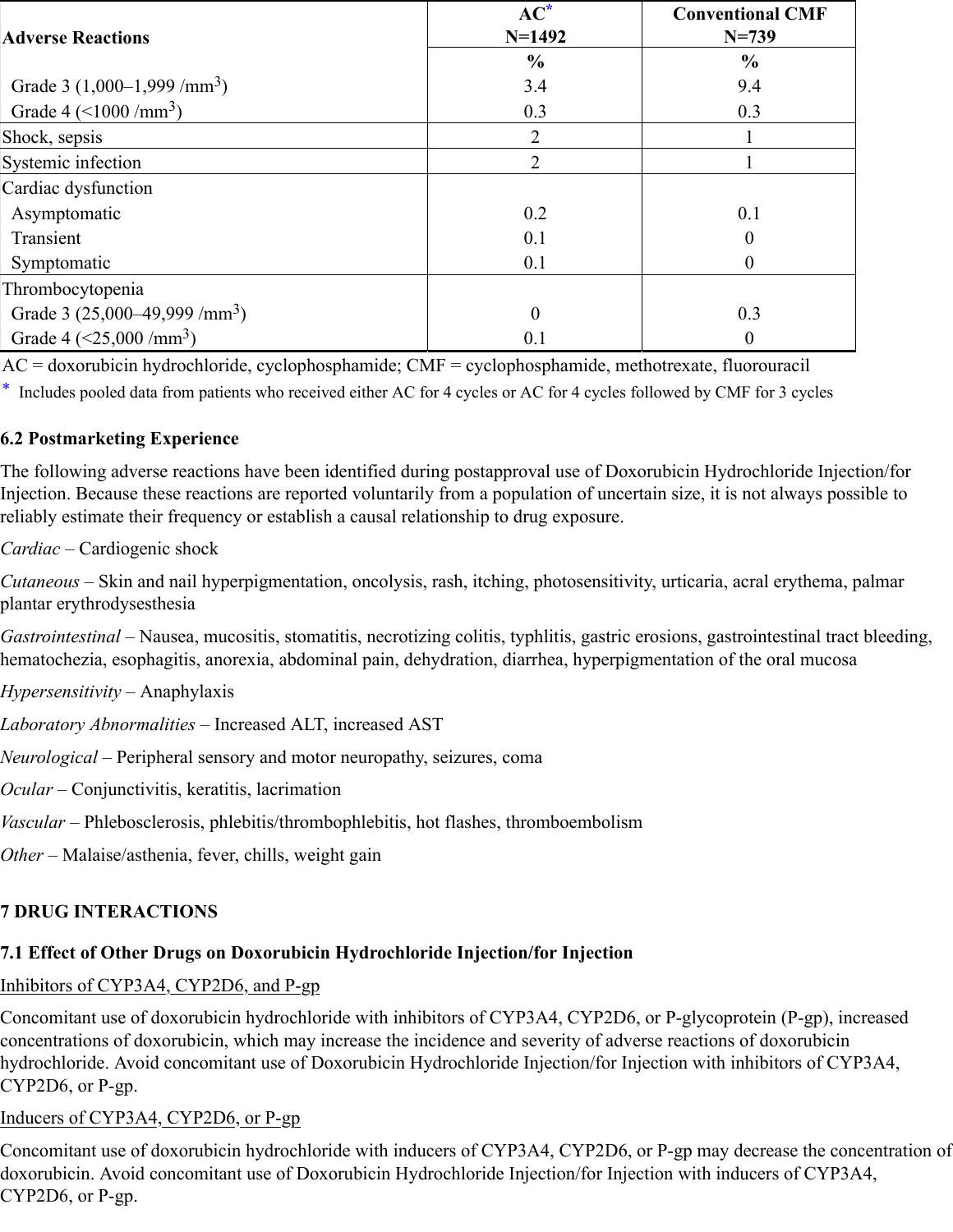|                                          | $AC^*$         | <b>Conventional CMF</b> |
|------------------------------------------|----------------|-------------------------|
| <b>Adverse Reactions</b>                 | $N=1492$       | $N = 739$               |
|                                          | $\frac{0}{0}$  | $\frac{6}{9}$           |
| Grade 3 $(1,000-1,999/mm3)$              | 3.4            | 9.4                     |
| Grade 4 $(<1000 / mm3)$                  | 0.3            | 0.3                     |
| Shock, sepsis                            | $\overline{2}$ |                         |
| Systemic infection                       | $\overline{2}$ |                         |
| Cardiac dysfunction                      |                |                         |
| Asymptomatic                             | 0.2            | 0.1                     |
| Transient                                | 0.1            | $\Omega$                |
| Symptomatic                              | 0.1            |                         |
| Thrombocytopenia                         |                |                         |
| Grade 3 $(25,000-49,999 \,/\text{mm}^3)$ | $\theta$       | 0.3                     |
| Grade 4 $(<25,000 / mm3)$                | 0.1            | 0                       |

AC = doxorubicin hydrochloride, cyclophosphamide; CMF = cyclophosphamide, methotrexate, fluorouracil

\* Includes pooled data from patients who received either AC for 4 cycles or AC for 4 cycles followed by CMF for 3 cycles

## **6.2 Postmarketing Experience**

The following adverse reactions have been identified during postapproval use of Doxorubicin Hydrochloride Injection/for Injection. Because these reactions are reported voluntarily from a population of uncertain size, it is not always possible to reliably estimate their frequency or establish a causal relationship to drug exposure.

# *Cardiac –* Cardiogenic shock

*Cutaneous* – Skin and nail hyperpigmentation, oncolysis, rash, itching, photosensitivity, urticaria, acral erythema, palmar plantar erythrodysesthesia

*Gastrointestinal* – Nausea, mucositis, stomatitis, necrotizing colitis, typhlitis, gastric erosions, gastrointestinal tract bleeding, hematochezia, esophagitis, anorexia, abdominal pain, dehydration, diarrhea, hyperpigmentation of the oral mucosa

- *Hypersensitivity* Anaphylaxis
- *Laboratory Abnormalities* Increased ALT, increased AST
- *Neurological* Peripheral sensory and motor neuropathy, seizures, coma
- *Ocular* Conjunctivitis, keratitis, lacrimation
- *Vascular* Phlebosclerosis, phlebitis/thrombophlebitis, hot flashes, thromboembolism
- *Other* Malaise/asthenia, fever, chills, weight gain

## **7 DRUG INTERACTIONS**

## **7.1 Effect of Other Drugs on Doxorubicin Hydrochloride Injection/for Injection**

#### Inhibitors of CYP3A4, CYP2D6, and P-gp

Concomitant use of doxorubicin hydrochloride with inhibitors of CYP3A4, CYP2D6, or P-glycoprotein (P-gp), increased concentrations of doxorubicin, which may increase the incidence and severity of adverse reactions of doxorubicin hydrochloride. Avoid concomitant use of Doxorubicin Hydrochloride Injection/for Injection with inhibitors of CYP3A4, CYP2D6, or P-gp.

## Inducers of CYP3A4, CYP2D6, or P-gp

Concomitant use of doxorubicin hydrochloride with inducers of CYP3A4, CYP2D6, or P-gp may decrease the concentration of doxorubicin. Avoid concomitant use of Doxorubicin Hydrochloride Injection/for Injection with inducers of CYP3A4, CYP2D6, or P-gp.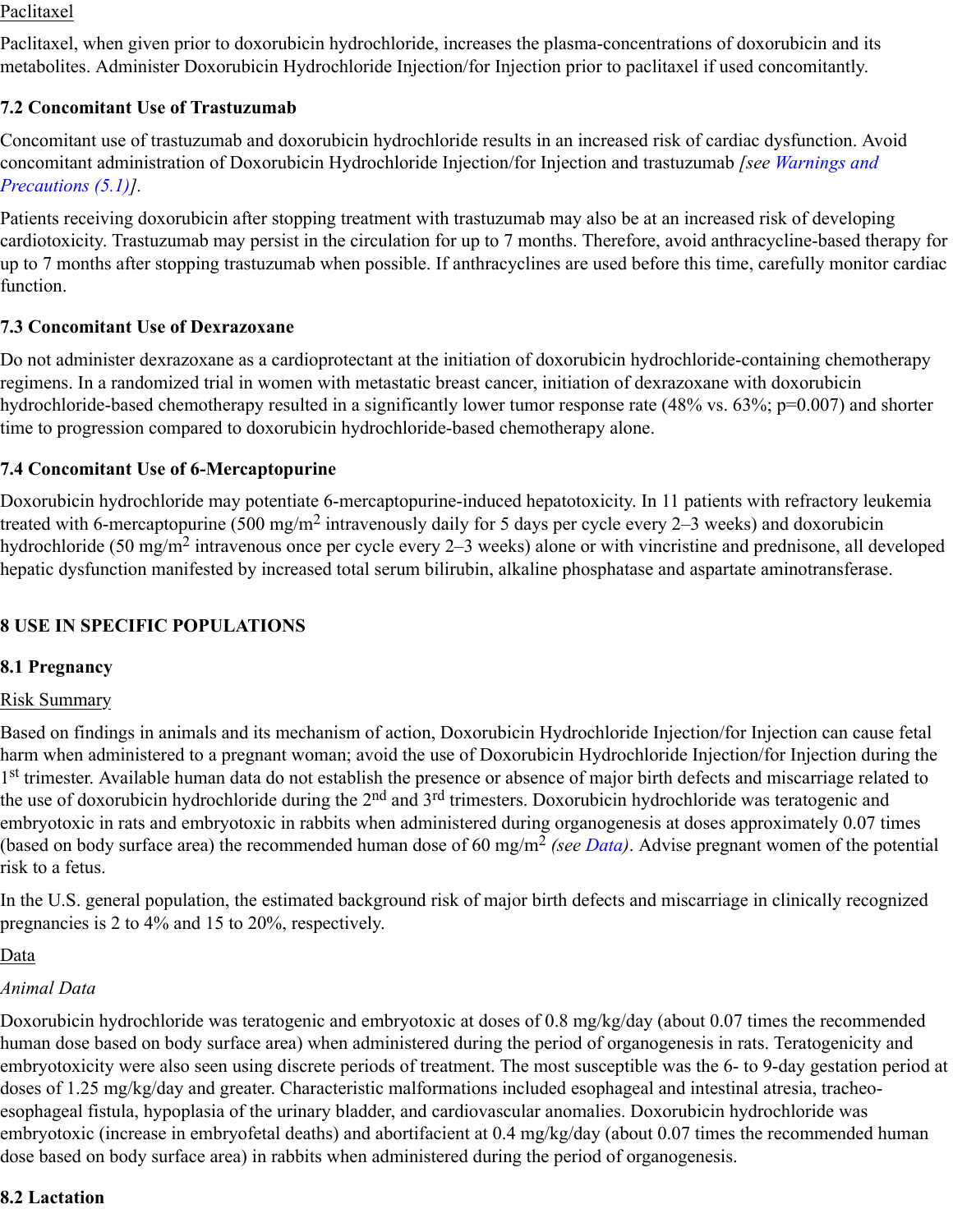#### Paclitaxel

Paclitaxel, when given prior to doxorubicin hydrochloride, increases the plasma-concentrations of doxorubicin and its metabolites. Administer Doxorubicin Hydrochloride Injection/for Injection prior to paclitaxel if used concomitantly.

## **7.2 Concomitant Use of Trastuzumab**

Concomitant use of trastuzumab and doxorubicin hydrochloride results in an increased risk of cardiac dysfunction. Avoid concomitant administration of Doxorubicin Hydrochloride Injection/for Injection and trastuzumab *[see Warnings and Precautions (5.1)].*

Patients receiving doxorubicin after stopping treatment with trastuzumab may also be at an increased risk of developing cardiotoxicity. Trastuzumab may persist in the circulation for up to 7 months. Therefore, avoid anthracycline-based therapy for up to 7 months after stopping trastuzumab when possible. If anthracyclines are used before this time, carefully monitor cardiac function.

#### **7.3 Concomitant Use of Dexrazoxane**

Do not administer dexrazoxane as a cardioprotectant at the initiation of doxorubicin hydrochloride-containing chemotherapy regimens. In a randomized trial in women with metastatic breast cancer, initiation of dexrazoxane with doxorubicin hydrochloride-based chemotherapy resulted in a significantly lower tumor response rate (48% vs. 63%; p=0.007) and shorter time to progression compared to doxorubicin hydrochloride-based chemotherapy alone.

#### **7.4 Concomitant Use of 6-Mercaptopurine**

Doxorubicin hydrochloride may potentiate 6-mercaptopurine-induced hepatotoxicity. In 11 patients with refractory leukemia treated with 6-mercaptopurine (500 mg/m<sup>2</sup> intravenously daily for 5 days per cycle every 2–3 weeks) and doxorubicin hydrochloride (50 mg/m<sup>2</sup> intravenous once per cycle every 2–3 weeks) alone or with vincristine and prednisone, all developed hepatic dysfunction manifested by increased total serum bilirubin, alkaline phosphatase and aspartate aminotransferase.

## **8 USE IN SPECIFIC POPULATIONS**

## **8.1 Pregnancy**

#### Risk Summary

Based on findings in animals and its mechanism of action, Doxorubicin Hydrochloride Injection/for Injection can cause fetal harm when administered to a pregnant woman; avoid the use of Doxorubicin Hydrochloride Injection/for Injection during the 1st trimester. Available human data do not establish the presence or absence of major birth defects and miscarriage related to the use of doxorubicin hydrochloride during the 2<sup>nd</sup> and 3<sup>rd</sup> trimesters. Doxorubicin hydrochloride was teratogenic and embryotoxic in rats and embryotoxic in rabbits when administered during organogenesis at doses approximately 0.07 times (based on body surface area) the recommended human dose of 60 mg/m<sup>2</sup> (see Data). Advise pregnant women of the potential risk to a fetus.

In the U.S. general population, the estimated background risk of major birth defects and miscarriage in clinically recognized pregnancies is 2 to 4% and 15 to 20%, respectively.

#### <u>Data</u>

#### *Animal Data*

Doxorubicin hydrochloride was teratogenic and embryotoxic at doses of 0.8 mg/kg/day (about 0.07 times the recommended human dose based on body surface area) when administered during the period of organogenesis in rats. Teratogenicity and embryotoxicity were also seen using discrete periods of treatment. The most susceptible was the 6- to 9-day gestation period at doses of 1.25 mg/kg/day and greater. Characteristic malformations included esophageal and intestinal atresia, tracheoesophageal fistula, hypoplasia of the urinary bladder, and cardiovascular anomalies. Doxorubicin hydrochloride was embryotoxic (increase in embryofetal deaths) and abortifacient at 0.4 mg/kg/day (about 0.07 times the recommended human dose based on body surface area) in rabbits when administered during the period of organogenesis.

#### **8.2 Lactation**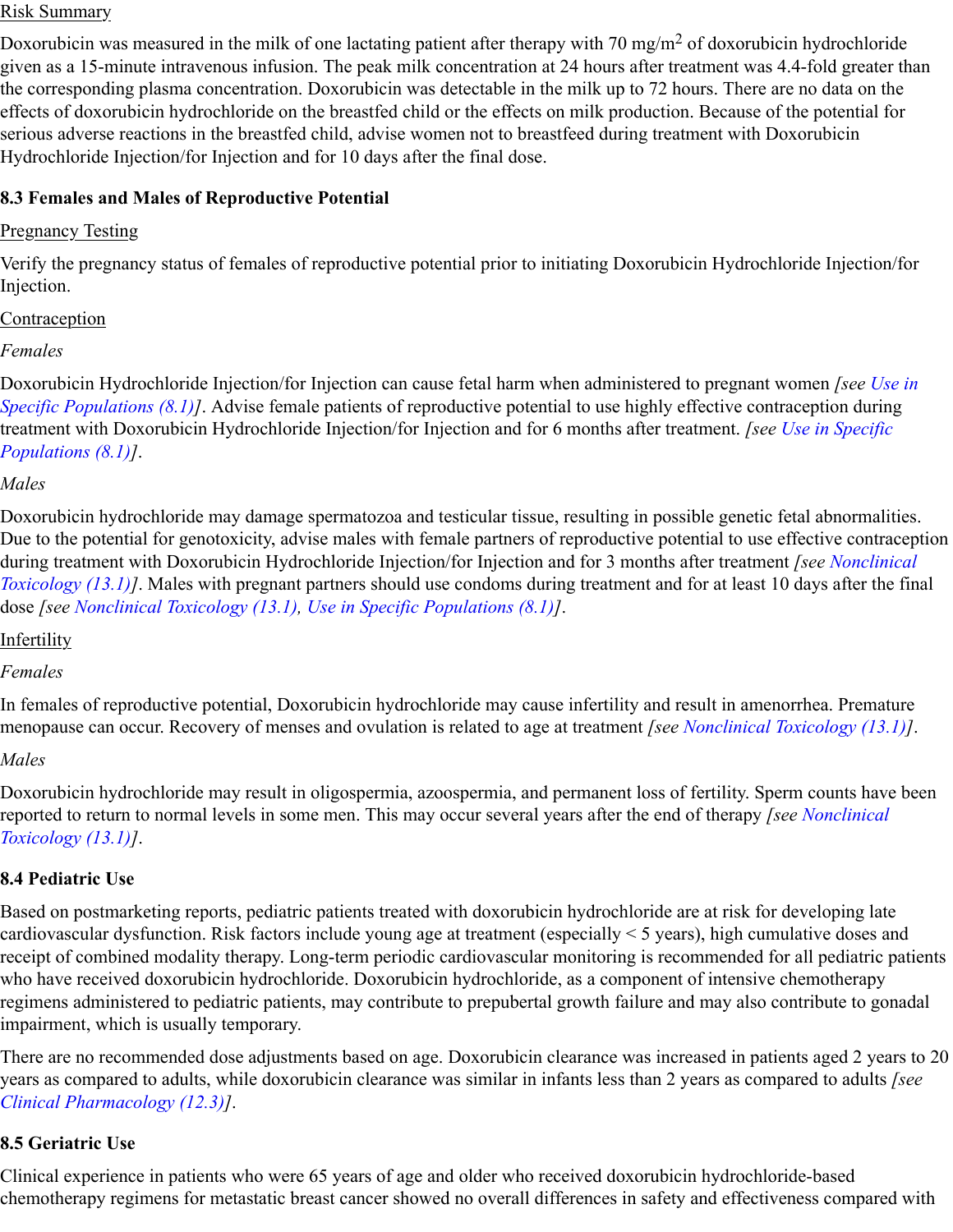#### Risk Summary

Doxorubicin was measured in the milk of one lactating patient after therapy with 70 mg/m<sup>2</sup> of doxorubicin hydrochloride given as a 15-minute intravenous infusion. The peak milk concentration at 24 hours after treatment was 4.4-fold greater than the corresponding plasma concentration. Doxorubicin was detectable in the milk up to 72 hours. There are no data on the effects of doxorubicin hydrochloride on the breastfed child or the effects on milk production. Because of the potential for serious adverse reactions in the breastfed child, advise women not to breastfeed during treatment with Doxorubicin Hydrochloride Injection/for Injection and for 10 days after the final dose.

#### **8.3 Females and Males of Reproductive Potential**

#### Pregnancy Testing

Verify the pregnancy status of females of reproductive potential prior to initiating Doxorubicin Hydrochloride Injection/for Injection.

#### Contraception

## *Females*

Doxorubicin Hydrochloride Injection/for Injection can cause fetal harm when administered to pregnant women *[see Use in Specific Populations (8.1)]*. Advise female patients of reproductive potential to use highly effective contraception during treatment with Doxorubicin Hydrochloride Injection/for Injection and for 6 months after treatment. *[see Use in Specific Populations (8.1)]*.

## *Males*

Doxorubicin hydrochloride may damage spermatozoa and testicular tissue, resulting in possible genetic fetal abnormalities. Due to the potential for genotoxicity, advise males with female partners of reproductive potential to use effective contraception during treatment with Doxorubicin Hydrochloride Injection/for Injection and for 3 months after treatment *[see Nonclinical Toxicology (13.1)]*. Males with pregnant partners should use condoms during treatment and for at least 10 days after the final dose *[see Nonclinical Toxicology (13.1), Use in Specific Populations (8.1)]*.

## Infertility

## *Females*

In females of reproductive potential, Doxorubicin hydrochloride may cause infertility and result in amenorrhea. Premature menopause can occur. Recovery of menses and ovulation is related to age at treatment *[see Nonclinical Toxicology (13.1)]*.

## *Males*

Doxorubicin hydrochloride may result in oligospermia, azoospermia, and permanent loss of fertility. Sperm counts have been reported to return to normal levels in some men. This may occur several years after the end of therapy *[see Nonclinical Toxicology (13.1)]*.

## **8.4 Pediatric Use**

Based on postmarketing reports, pediatric patients treated with doxorubicin hydrochloride are at risk for developing late cardiovascular dysfunction. Risk factors include young age at treatment (especially < 5 years), high cumulative doses and receipt of combined modality therapy. Long-term periodic cardiovascular monitoring is recommended for all pediatric patients who have received doxorubicin hydrochloride. Doxorubicin hydrochloride, as a component of intensive chemotherapy regimens administered to pediatric patients, may contribute to prepubertal growth failure and may also contribute to gonadal impairment, which is usually temporary.

There are no recommended dose adjustments based on age. Doxorubicin clearance was increased in patients aged 2 years to 20 years as compared to adults, while doxorubicin clearance was similar in infants less than 2 years as compared to adults *[see Clinical Pharmacology (12.3)]*.

## **8.5 Geriatric Use**

Clinical experience in patients who were 65 years of age and older who received doxorubicin hydrochloride-based chemotherapy regimens for metastatic breast cancer showed no overall differences in safety and effectiveness compared with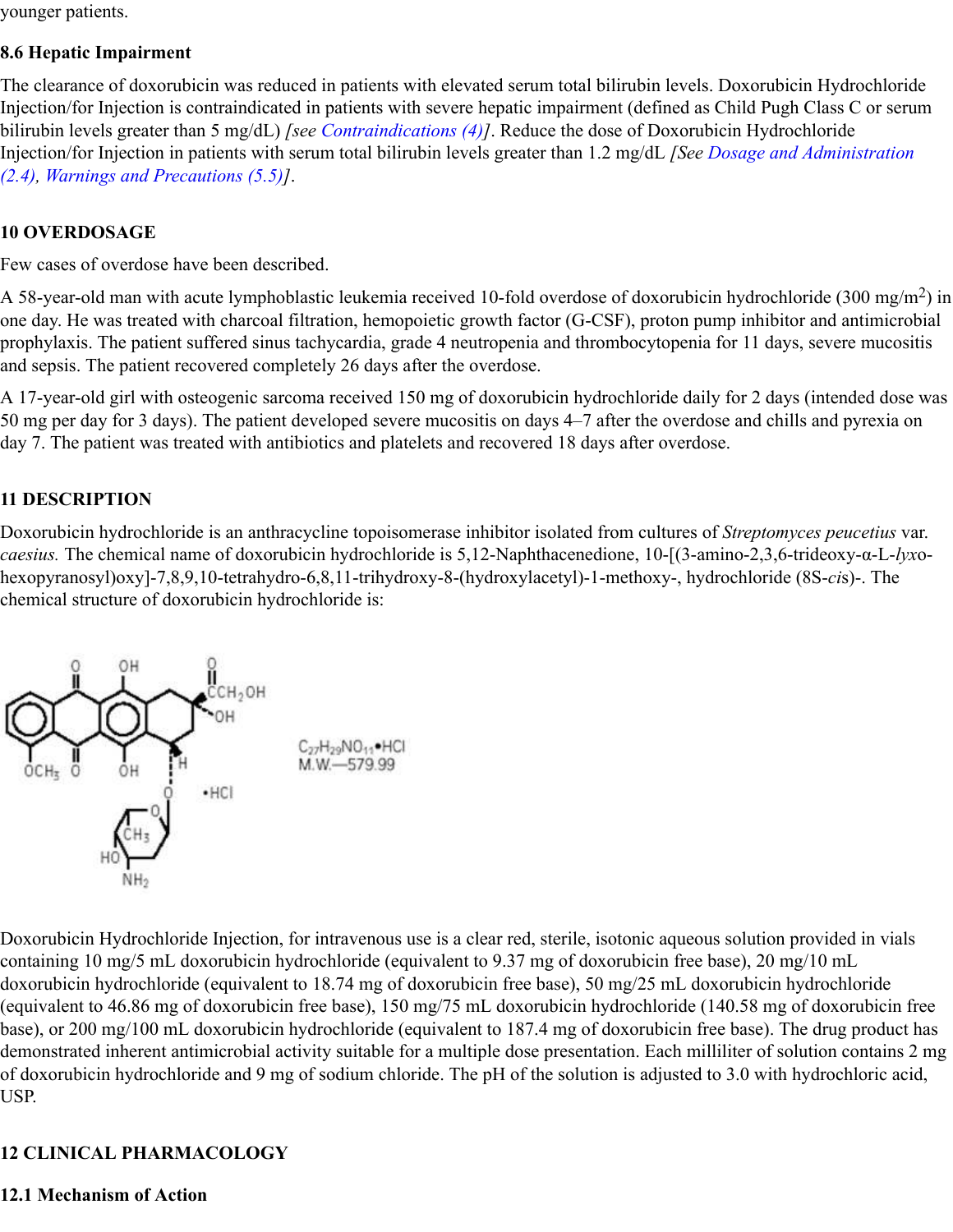younger patients.

#### **8.6 Hepatic Impairment**

The clearance of doxorubicin was reduced in patients with elevated serum total bilirubin levels. Doxorubicin Hydrochloride Injection/for Injection is contraindicated in patients with severe hepatic impairment (defined as Child Pugh Class C or serum bilirubin levels greater than 5 mg/dL) *[see Contraindications (4)]*. Reduce the dose of Doxorubicin Hydrochloride Injection/for Injection in patients with serum total bilirubin levels greater than 1.2 mg/dL *[See Dosage and Administration (2.4), Warnings and Precautions (5.5)]*.

## **10 OVERDOSAGE**

Few cases of overdose have been described.

A 58-year-old man with acute lymphoblastic leukemia received 10-fold overdose of doxorubicin hydrochloride (300 mg/m<sup>2</sup>) in one day. He was treated with charcoal filtration, hemopoietic growth factor (G-CSF), proton pump inhibitor and antimicrobial prophylaxis. The patient suffered sinus tachycardia, grade 4 neutropenia and thrombocytopenia for 11 days, severe mucositis and sepsis. The patient recovered completely 26 days after the overdose.

A 17-year-old girl with osteogenic sarcoma received 150 mg of doxorubicin hydrochloride daily for 2 days (intended dose was 50 mg per day for 3 days). The patient developed severe mucositis on days 4–7 after the overdose and chills and pyrexia on day 7. The patient was treated with antibiotics and platelets and recovered 18 days after overdose.

## **11 DESCRIPTION**

Doxorubicin hydrochloride is an anthracycline topoisomerase inhibitor isolated from cultures of *Streptomyces peucetius* var. *caesius.* The chemical name of doxorubicin hydrochloride is 5,12-Naphthacenedione, 10-[(3-amino-2,3,6-trideoxy-α-L-*lyx*ohexopyranosyl)oxy]-7,8,9,10-tetrahydro-6,8,11-trihydroxy-8-(hydroxylacetyl)-1-methoxy-, hydrochloride (8S-*ci*s)-. The chemical structure of doxorubicin hydrochloride is:



Doxorubicin Hydrochloride Injection, for intravenous use is a clear red, sterile, isotonic aqueous solution provided in vials containing 10 mg/5 mL doxorubicin hydrochloride (equivalent to 9.37 mg of doxorubicin free base), 20 mg/10 mL doxorubicin hydrochloride (equivalent to 18.74 mg of doxorubicin free base), 50 mg/25 mL doxorubicin hydrochloride (equivalent to 46.86 mg of doxorubicin free base), 150 mg/75 mL doxorubicin hydrochloride (140.58 mg of doxorubicin free base), or 200 mg/100 mL doxorubicin hydrochloride (equivalent to 187.4 mg of doxorubicin free base). The drug product has demonstrated inherent antimicrobial activity suitable for a multiple dose presentation. Each milliliter of solution contains 2 mg of doxorubicin hydrochloride and 9 mg of sodium chloride. The pH of the solution is adjusted to 3.0 with hydrochloric acid, USP.

## **12 CLINICAL PHARMACOLOGY**

## **12.1 Mechanism of Action**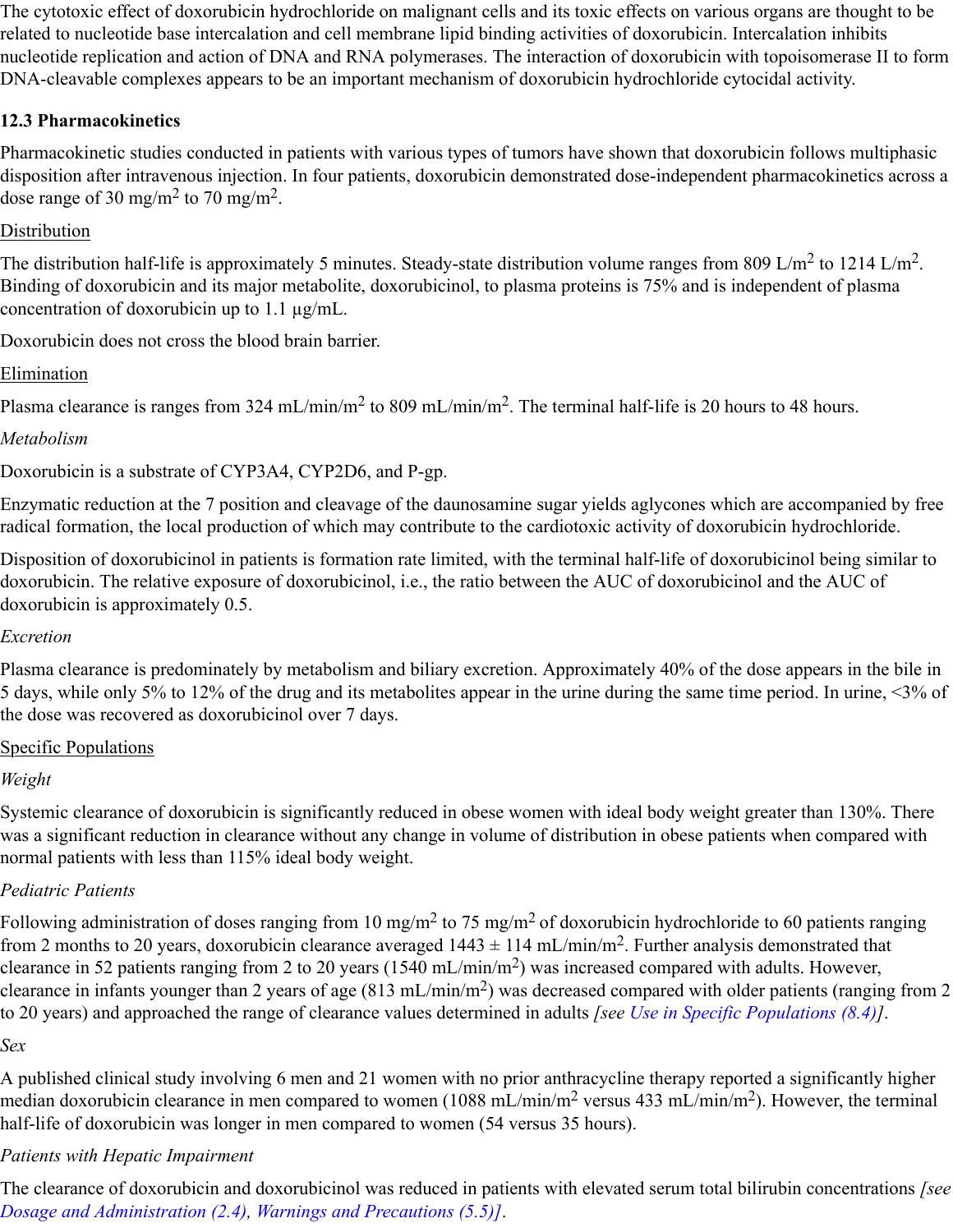The cytotoxic effect of doxorubicin hydrochloride on malignant cells and its toxic effects on various organs are thought to be related to nucleotide base intercalation and cell membrane lipid binding activities of doxorubicin. Intercalation inhibits nucleotide replication and action of DNA and RNA polymerases. The interaction of doxorubicin with topoisomerase II to form DNA-cleavable complexes appears to be an important mechanism of doxorubicin hydrochloride cytocidal activity.

## **12.3 Pharmacokinetics**

Pharmacokinetic studies conducted in patients with various types of tumors have shown that doxorubicin follows multiphasic disposition after intravenous injection. In four patients, doxorubicin demonstrated dose-independent pharmacokinetics across a dose range of 30 mg/m<sup>2</sup> to 70 mg/m<sup>2</sup>.

#### Distribution

The distribution half-life is approximately 5 minutes. Steady-state distribution volume ranges from 809 L/m<sup>2</sup> to 1214 L/m<sup>2</sup>. Binding of doxorubicin and its major metabolite, doxorubicinol, to plasma proteins is 75% and is independent of plasma concentration of doxorubicin up to 1.1 µg/mL.

Doxorubicin does not cross the blood brain barrier.

## Elimination

Plasma clearance is ranges from 324 mL/min/m<sup>2</sup> to 809 mL/min/m<sup>2</sup>. The terminal half-life is 20 hours to 48 hours.

## *Metabolism*

Doxorubicin is a substrate of CYP3A4, CYP2D6, and P-gp.

Enzymatic reduction at the 7 position and cleavage of the daunosamine sugar yields aglycones which are accompanied by free radical formation, the local production of which may contribute to the cardiotoxic activity of doxorubicin hydrochloride.

Disposition of doxorubicinol in patients is formation rate limited, with the terminal half-life of doxorubicinol being similar to doxorubicin. The relative exposure of doxorubicinol, i.e., the ratio between the AUC of doxorubicinol and the AUC of doxorubicin is approximately 0.5.

#### *Excretion*

Plasma clearance is predominately by metabolism and biliary excretion. Approximately 40% of the dose appears in the bile in 5 days, while only 5% to 12% of the drug and its metabolites appear in the urine during the same time period. In urine, <3% of the dose was recovered as doxorubicinol over 7 days.

## Specific Populations

## *Weight*

Systemic clearance of doxorubicin is significantly reduced in obese women with ideal body weight greater than 130%. There was a significant reduction in clearance without any change in volume of distribution in obese patients when compared with normal patients with less than 115% ideal body weight.

## *Pediatric Patients*

Following administration of doses ranging from 10 mg/m<sup>2</sup> to 75 mg/m<sup>2</sup> of doxorubicin hydrochloride to 60 patients ranging from 2 months to 20 years, doxorubicin clearance averaged  $1443 \pm 114$  mL/min/m<sup>2</sup>. Further analysis demonstrated that clearance in 52 patients ranging from 2 to 20 years (1540 mL/min/m<sup>2</sup>) was increased compared with adults. However, clearance in infants younger than 2 years of age  $(813 \text{ mL/min/m}^2)$  was decreased compared with older patients (ranging from 2 to 20 years) and approached the range of clearance values determined in adults *[see Use in Specific Populations (8.4)]*.

#### *Sex*

A published clinical study involving 6 men and 21 women with no prior anthracycline therapy reported a significantly higher median doxorubicin clearance in men compared to women (1088 mL/min/m<sup>2</sup> versus 433 mL/min/m<sup>2</sup>). However, the terminal half-life of doxorubicin was longer in men compared to women (54 versus 35 hours).

## *Patients with Hepatic Impairment*

The clearance of doxorubicin and doxorubicinol was reduced in patients with elevated serum total bilirubin concentrations *[see Dosage and Administration (2.4), Warnings and Precautions (5.5)]*.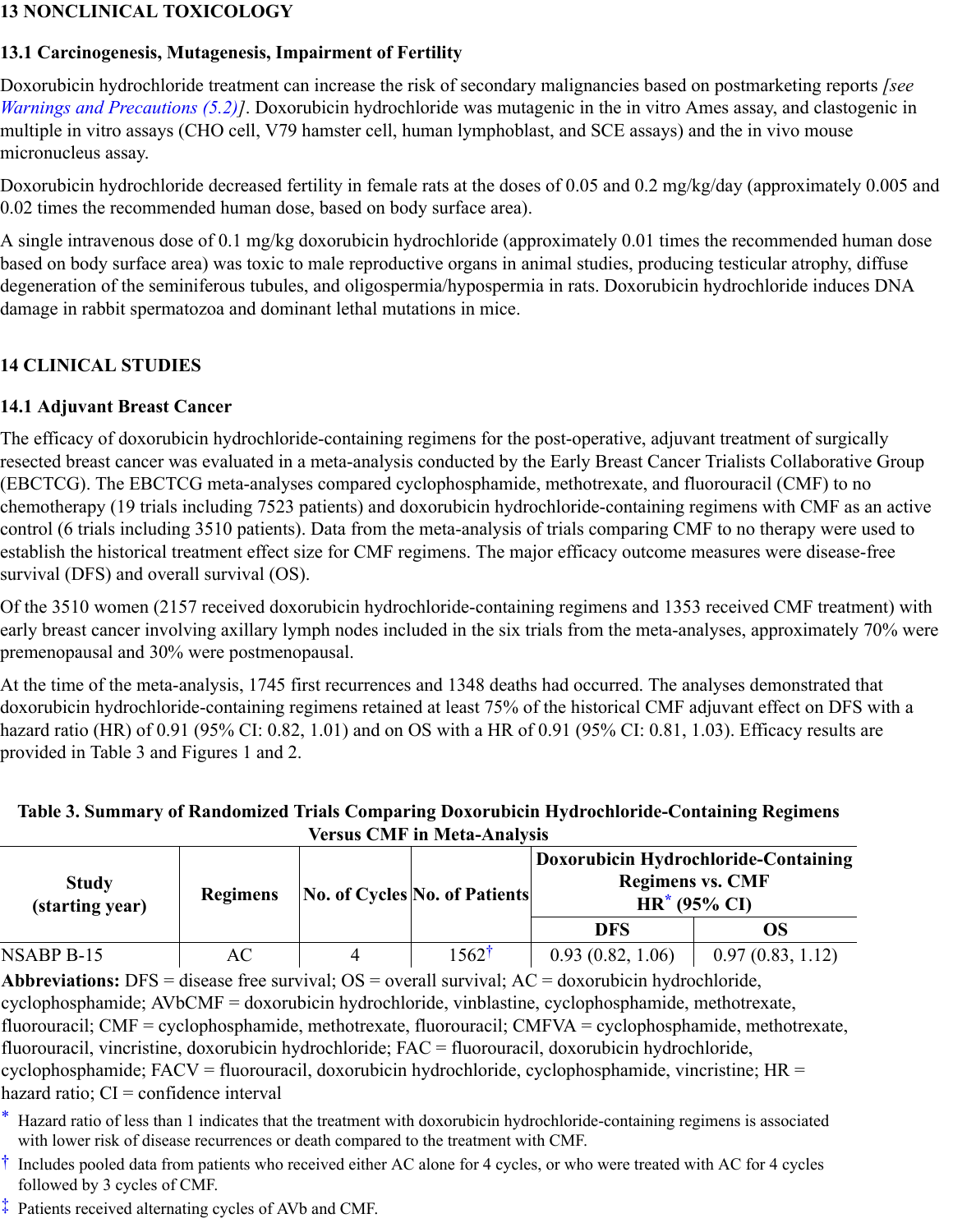#### **13 NONCLINICAL TOXICOLOGY**

#### **13.1 Carcinogenesis, Mutagenesis, Impairment of Fertility**

Doxorubicin hydrochloride treatment can increase the risk of secondary malignancies based on postmarketing reports *[see Warnings and Precautions (5.2)]*. Doxorubicin hydrochloride was mutagenic in the in vitro Ames assay, and clastogenic in multiple in vitro assays (CHO cell, V79 hamster cell, human lymphoblast, and SCE assays) and the in vivo mouse micronucleus assay.

Doxorubicin hydrochloride decreased fertility in female rats at the doses of 0.05 and 0.2 mg/kg/day (approximately 0.005 and 0.02 times the recommended human dose, based on body surface area).

A single intravenous dose of 0.1 mg/kg doxorubicin hydrochloride (approximately 0.01 times the recommended human dose based on body surface area) was toxic to male reproductive organs in animal studies, producing testicular atrophy, diffuse degeneration of the seminiferous tubules, and oligospermia/hypospermia in rats. Doxorubicin hydrochloride induces DNA damage in rabbit spermatozoa and dominant lethal mutations in mice.

## **14 CLINICAL STUDIES**

#### **14.1 Adjuvant Breast Cancer**

The efficacy of doxorubicin hydrochloride-containing regimens for the post-operative, adjuvant treatment of surgically resected breast cancer was evaluated in a meta-analysis conducted by the Early Breast Cancer Trialists Collaborative Group (EBCTCG). The EBCTCG meta-analyses compared cyclophosphamide, methotrexate, and fluorouracil (CMF) to no chemotherapy (19 trials including 7523 patients) and doxorubicin hydrochloride-containing regimens with CMF as an active control (6 trials including 3510 patients). Data from the meta-analysis of trials comparing CMF to no therapy were used to establish the historical treatment effect size for CMF regimens. The major efficacy outcome measures were disease-free survival (DFS) and overall survival (OS).

Of the 3510 women (2157 received doxorubicin hydrochloride-containing regimens and 1353 received CMF treatment) with early breast cancer involving axillary lymph nodes included in the six trials from the meta-analyses, approximately 70% were premenopausal and 30% were postmenopausal.

At the time of the meta-analysis, 1745 first recurrences and 1348 deaths had occurred. The analyses demonstrated that doxorubicin hydrochloride-containing regimens retained at least 75% of the historical CMF adjuvant effect on DFS with a hazard ratio (HR) of 0.91 (95% CI: 0.82, 1.01) and on OS with a HR of 0.91 (95% CI: 0.81, 1.03). Efficacy results are provided in Table 3 and Figures 1 and 2.

#### **Table 3. Summary of Randomized Trials Comparing Doxorubicin Hydrochloride-Containing Regimens Versus CMF in Meta-Analysis**

| <b>Study</b><br>(starting year) | <b>Regimens</b> |  | No. of Cycles No. of Patients | Doxorubicin Hydrochloride-Containing<br><b>Regimens vs. CMF</b><br>$HR^*$ (95% CI) |                  |  |
|---------------------------------|-----------------|--|-------------------------------|------------------------------------------------------------------------------------|------------------|--|
|                                 |                 |  |                               | <b>DFS</b>                                                                         | OS               |  |
| NSABP B-15                      | AC              |  | $1562^{\dagger}$              | 0.93(0.82, 1.06)                                                                   | 0.97(0.83, 1.12) |  |

**Abbreviations:** DFS = disease free survival; OS = overall survival; AC = doxorubicin hydrochloride, cyclophosphamide; AVbCMF = doxorubicin hydrochloride, vinblastine, cyclophosphamide, methotrexate, fluorouracil; CMF = cyclophosphamide, methotrexate, fluorouracil; CMFVA = cyclophosphamide, methotrexate, fluorouracil, vincristine, doxorubicin hydrochloride; FAC = fluorouracil, doxorubicin hydrochloride, cyclophosphamide; FACV = fluorouracil, doxorubicin hydrochloride, cyclophosphamide, vincristine; HR = hazard ratio;  $CI =$  confidence interval

- \* Hazard ratio of less than 1 indicates that the treatment with doxorubicin hydrochloride-containing regimens is associated with lower risk of disease recurrences or death compared to the treatment with CMF.
- † Includes pooled data from patients who received either AC alone for 4 cycles, or who were treated with AC for 4 cycles followed by 3 cycles of CMF.
- ‡ Patients received alternating cycles of AVb and CMF.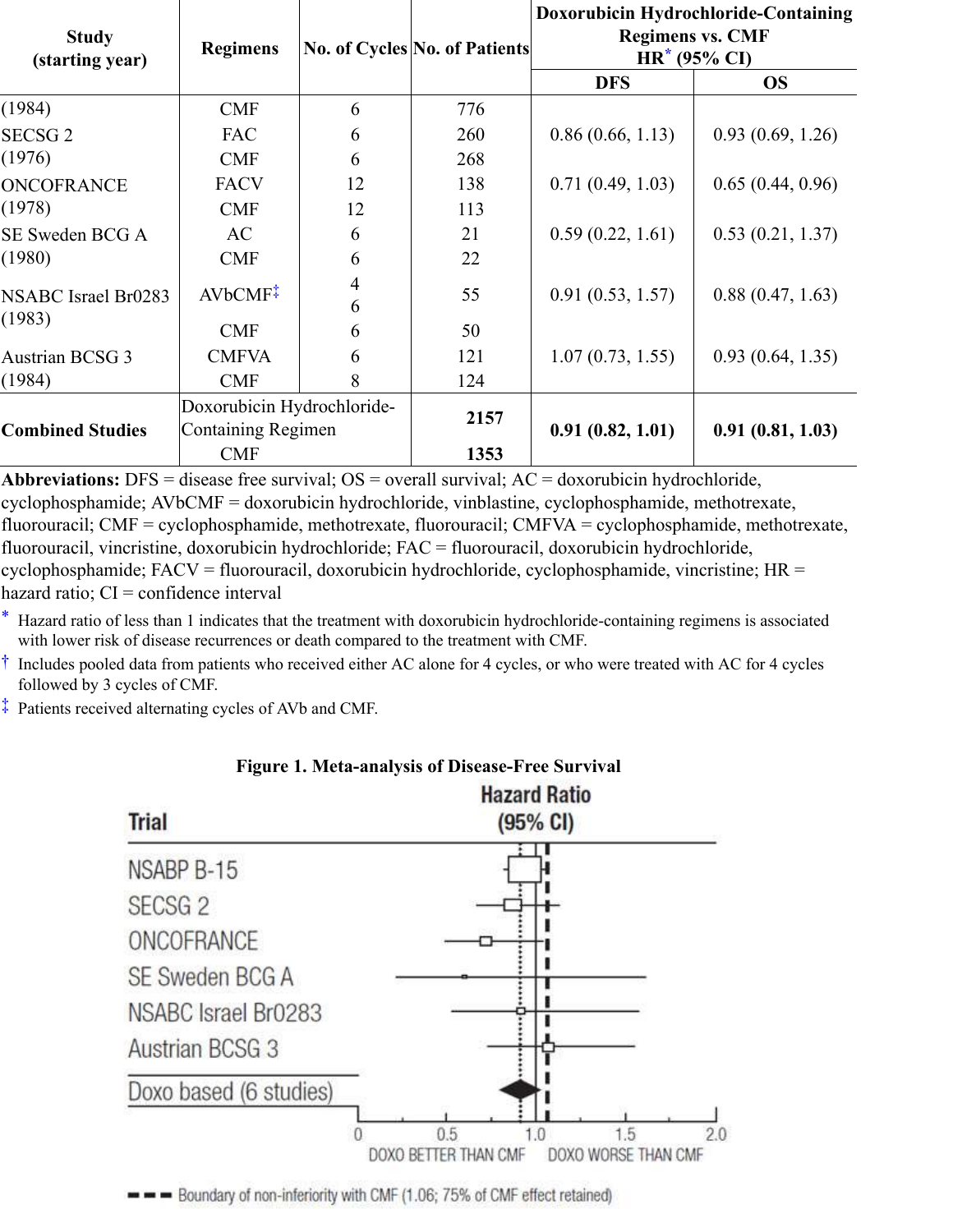| <b>Study</b><br>(starting year) | <b>Regimens</b>                                  |                     | <b>No. of Cycles No. of Patients</b> | Doxorubicin Hydrochloride-Containing<br><b>Regimens vs. CMF</b><br>$HR^*$ (95% CI) |                  |
|---------------------------------|--------------------------------------------------|---------------------|--------------------------------------|------------------------------------------------------------------------------------|------------------|
|                                 |                                                  |                     |                                      | <b>DFS</b>                                                                         | <b>OS</b>        |
| (1984)                          | <b>CMF</b>                                       | 6                   | 776                                  |                                                                                    |                  |
| SECSG <sub>2</sub>              | <b>FAC</b>                                       | 6                   | 260                                  | 0.86(0.66, 1.13)                                                                   | 0.93(0.69, 1.26) |
| (1976)                          | <b>CMF</b>                                       | 6                   | 268                                  |                                                                                    |                  |
| <b>ONCOFRANCE</b>               | <b>FACV</b>                                      | 12                  | 138                                  | 0.71(0.49, 1.03)                                                                   | 0.65(0.44, 0.96) |
| (1978)                          | <b>CMF</b>                                       | 12                  | 113                                  |                                                                                    |                  |
| SE Sweden BCG A                 | AC                                               | 6                   | 21                                   | 0.59(0.22, 1.61)                                                                   | 0.53(0.21, 1.37) |
| (1980)                          | <b>CMF</b>                                       | 6                   | 22                                   |                                                                                    |                  |
| NSABC Israel Br0283             | AVbCMF <sup>*</sup>                              | $\overline{4}$<br>6 | 55                                   | 0.91(0.53, 1.57)                                                                   | 0.88(0.47, 1.63) |
| (1983)                          | <b>CMF</b>                                       | 6                   | 50                                   |                                                                                    |                  |
| <b>Austrian BCSG 3</b>          | <b>CMFVA</b>                                     | 6                   | 121                                  | 1.07(0.73, 1.55)                                                                   | 0.93(0.64, 1.35) |
| (1984)                          | <b>CMF</b>                                       | 8                   | 124                                  |                                                                                    |                  |
| <b>Combined Studies</b>         | Doxorubicin Hydrochloride-<br>Containing Regimen |                     | 2157                                 | 0.91(0.82, 1.01)                                                                   | 0.91(0.81, 1.03) |
|                                 | <b>CMF</b>                                       |                     | 1353                                 |                                                                                    |                  |

**Abbreviations:** DFS = disease free survival; OS = overall survival; AC = doxorubicin hydrochloride, cyclophosphamide; AVbCMF = doxorubicin hydrochloride, vinblastine, cyclophosphamide, methotrexate, fluorouracil; CMF = cyclophosphamide, methotrexate, fluorouracil; CMFVA = cyclophosphamide, methotrexate, fluorouracil, vincristine, doxorubicin hydrochloride; FAC = fluorouracil, doxorubicin hydrochloride, cyclophosphamide; FACV = fluorouracil, doxorubicin hydrochloride, cyclophosphamide, vincristine; HR = hazard ratio;  $CI =$  confidence interval

\* Hazard ratio of less than 1 indicates that the treatment with doxorubicin hydrochloride-containing regimens is associated with lower risk of disease recurrences or death compared to the treatment with CMF.

† Includes pooled data from patients who received either AC alone for 4 cycles, or who were treated with AC for 4 cycles followed by 3 cycles of CMF.

‡ Patients received alternating cycles of AVb and CMF.



# **Figure 1. Meta-analysis of Disease-Free Survival**

Boundary of non-inferiority with CMF (1.06; 75% of CMF effect retained)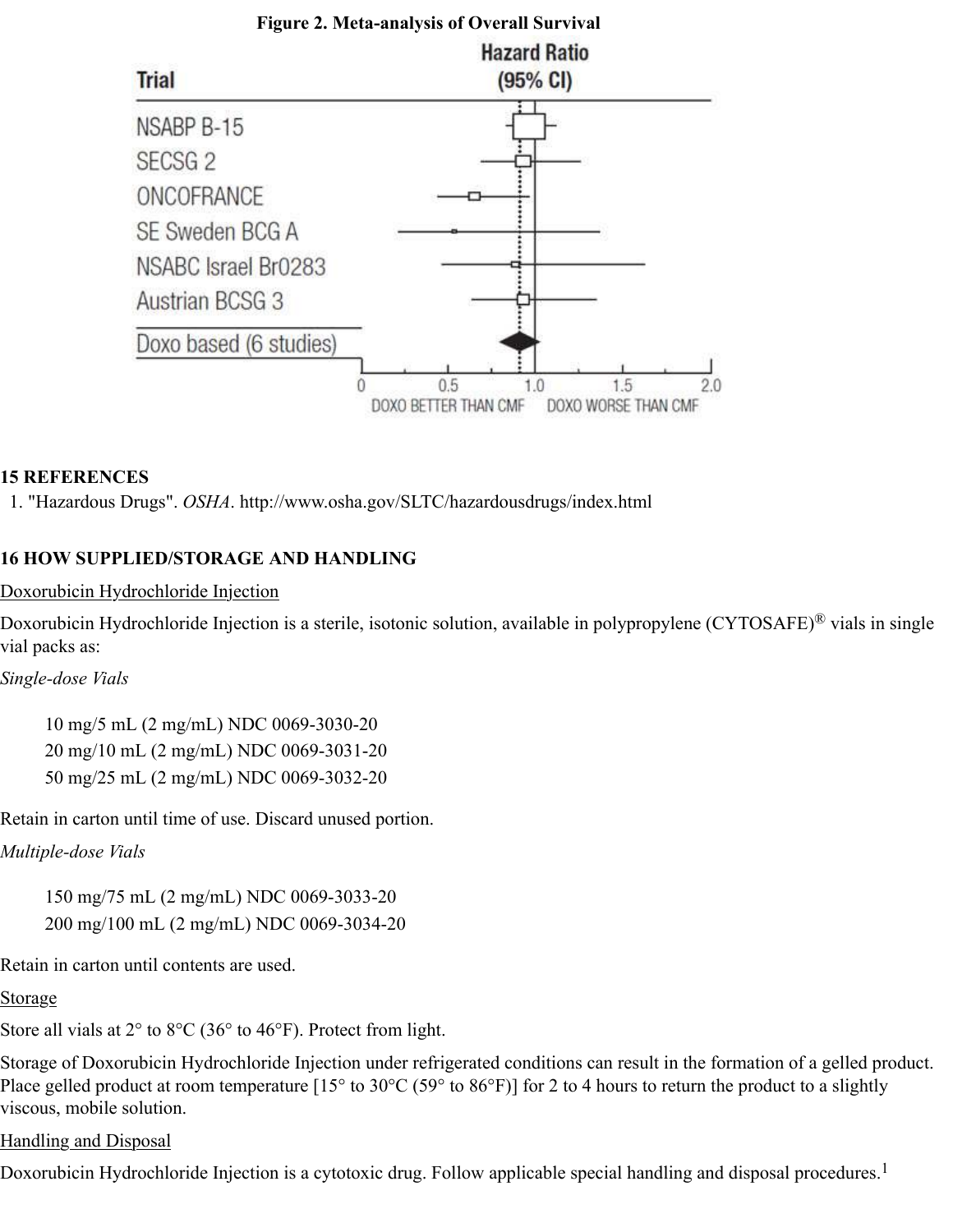

#### **15 REFERENCES**

1. "Hazardous Drugs". *OSHA*. http://www.osha.gov/SLTC/hazardousdrugs/index.html

#### **16 HOW SUPPLIED/STORAGE AND HANDLING**

Doxorubicin Hydrochloride Injection

Doxorubicin Hydrochloride Injection is a sterile, isotonic solution, available in polypropylene (CYTOSAFE)<sup>®</sup> vials in single vial packs as:

*Single-dose Vials*

10 mg/5 mL (2 mg/mL) NDC 0069-3030-20 20 mg/10 mL (2 mg/mL) NDC 0069-3031-20 50 mg/25 mL (2 mg/mL) NDC 0069-3032-20

Retain in carton until time of use. Discard unused portion.

*Multiple-dose Vials*

150 mg/75 mL (2 mg/mL) NDC 0069-3033-20 200 mg/100 mL (2 mg/mL) NDC 0069-3034-20

Retain in carton until contents are used.

Storage

Store all vials at  $2^{\circ}$  to  $8^{\circ}$ C (36 $^{\circ}$  to 46 $^{\circ}$ F). Protect from light.

Storage of Doxorubicin Hydrochloride Injection under refrigerated conditions can result in the formation of a gelled product. Place gelled product at room temperature  $[15^\circ$  to  $30^\circ$ C (59 $^\circ$  to  $86^\circ$ F)] for 2 to 4 hours to return the product to a slightly viscous, mobile solution.

Handling and Disposal

Doxorubicin Hydrochloride Injection is a cytotoxic drug. Follow applicable special handling and disposal procedures.<sup>1</sup>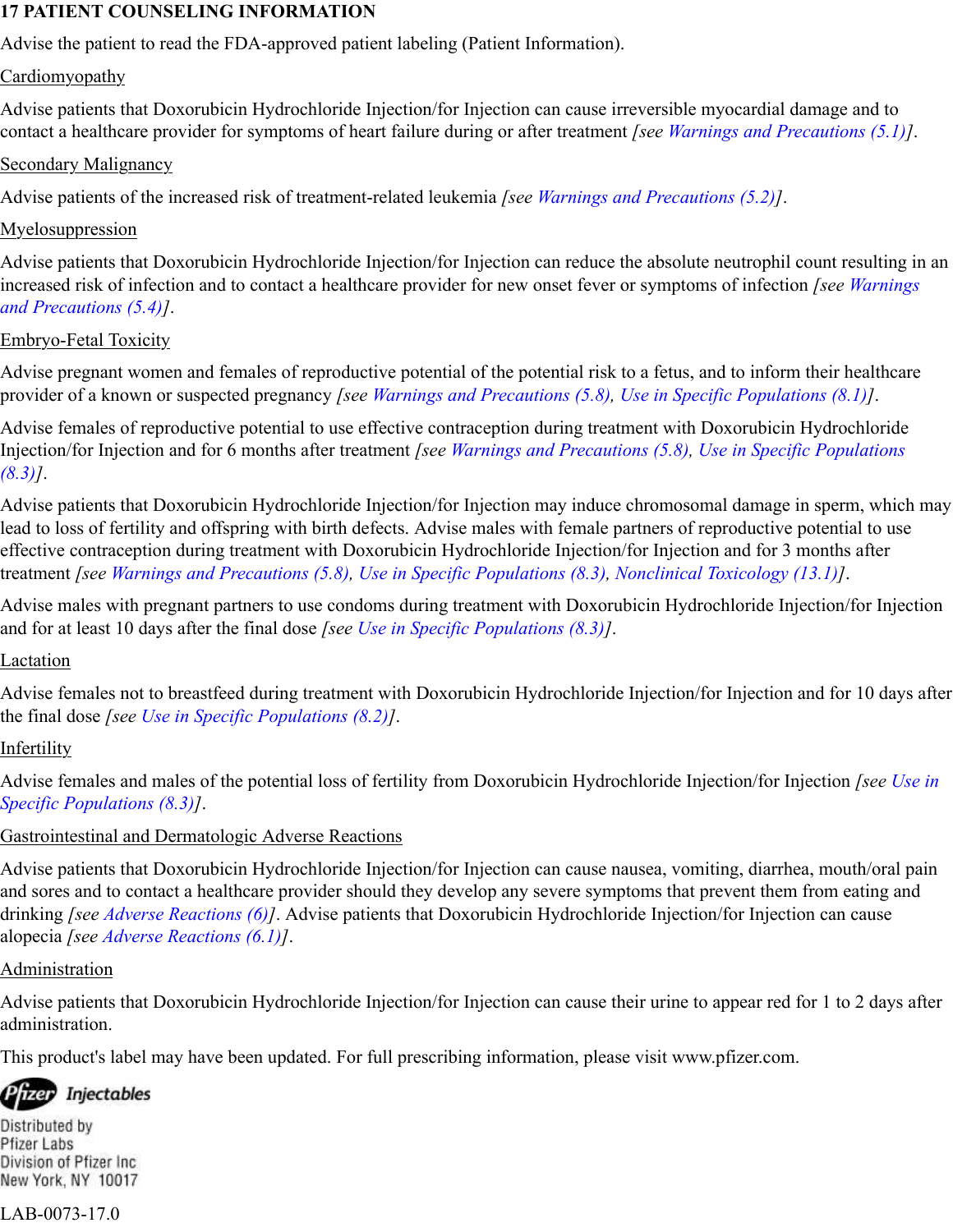#### **17 PATIENT COUNSELING INFORMATION**

Advise the patient to read the FDA-approved patient labeling (Patient Information).

#### **Cardiomyopathy**

Advise patients that Doxorubicin Hydrochloride Injection/for Injection can cause irreversible myocardial damage and to contact a healthcare provider for symptoms of heart failure during or after treatment *[see Warnings and Precautions (5.1)]*.

## Secondary Malignancy

Advise patients of the increased risk of treatment-related leukemia *[see Warnings and Precautions (5.2)]*.

#### Myelosuppression

Advise patients that Doxorubicin Hydrochloride Injection/for Injection can reduce the absolute neutrophil count resulting in an increased risk of infection and to contact a healthcare provider for new onset fever or symptoms of infection *[see Warnings and Precautions (5.4)]*.

#### Embryo-Fetal Toxicity

Advise pregnant women and females of reproductive potential of the potential risk to a fetus, and to inform their healthcare provider of a known or suspected pregnancy *[see Warnings and Precautions (5.8), Use in Specific Populations (8.1)]*.

Advise females of reproductive potential to use effective contraception during treatment with Doxorubicin Hydrochloride Injection/for Injection and for 6 months after treatment *[see Warnings and Precautions (5.8), Use in Specific Populations (8.3)]*.

Advise patients that Doxorubicin Hydrochloride Injection/for Injection may induce chromosomal damage in sperm, which may lead to loss of fertility and offspring with birth defects. Advise males with female partners of reproductive potential to use effective contraception during treatment with Doxorubicin Hydrochloride Injection/for Injection and for 3 months after treatment *[see Warnings and Precautions (5.8), Use in Specific Populations (8.3), Nonclinical Toxicology (13.1)]*.

Advise males with pregnant partners to use condoms during treatment with Doxorubicin Hydrochloride Injection/for Injection and for at least 10 days after the final dose *[see Use in Specific Populations (8.3)]*.

## Lactation

Advise females not to breastfeed during treatment with Doxorubicin Hydrochloride Injection/for Injection and for 10 days after the final dose *[see Use in Specific Populations (8.2)]*.

## Infertility

Advise females and males of the potential loss of fertility from Doxorubicin Hydrochloride Injection/for Injection *[see Use in Specific Populations (8.3)]*.

## Gastrointestinal and Dermatologic Adverse Reactions

Advise patients that Doxorubicin Hydrochloride Injection/for Injection can cause nausea, vomiting, diarrhea, mouth/oral pain and sores and to contact a healthcare provider should they develop any severe symptoms that prevent them from eating and drinking *[see Adverse Reactions (6)]*. Advise patients that Doxorubicin Hydrochloride Injection/for Injection can cause alopecia *[see Adverse Reactions (6.1)]*.

## Administration

Advise patients that Doxorubicin Hydrochloride Injection/for Injection can cause their urine to appear red for 1 to 2 days after administration.

This product's label may have been updated. For full prescribing information, please visit www.pfizer.com.

Pfizer Injectables

Distributed by Pfizer Labs Division of Pfizer Inc. New York, NY 10017

## LAB-0073-17.0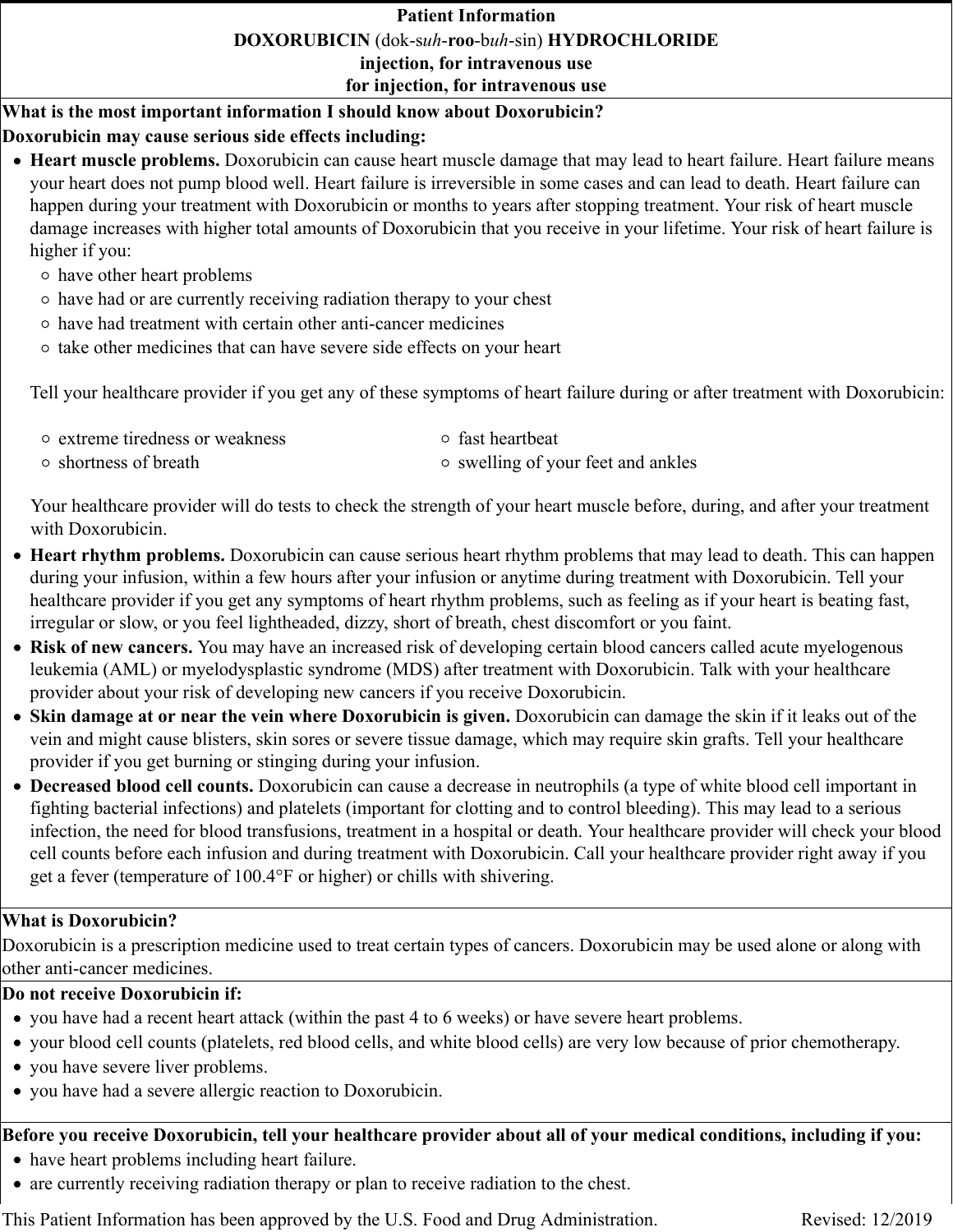#### **Patient Information**

**DOXORUBICIN** (dok-s*uh*-**roo**-b*uh*-sin) **HYDROCHLORIDE**

**injection, for intravenous use**

**for injection, for intravenous use**

**What is the most important information I should know about Doxorubicin?**

# **Doxorubicin may cause serious side effects including:**

- **Heart muscle problems.** Doxorubicin can cause heart muscle damage that may lead to heart failure. Heart failure means your heart does not pump blood well. Heart failure is irreversible in some cases and can lead to death. Heart failure can happen during your treatment with Doxorubicin or months to years after stopping treatment. Your risk of heart muscle damage increases with higher total amounts of Doxorubicin that you receive in your lifetime. Your risk of heart failure is higher if you:
	- have other heart problems
	- have had or are currently receiving radiation therapy to your chest
	- have had treatment with certain other anti-cancer medicines
	- $\circ$  take other medicines that can have severe side effects on your heart

Tell your healthcare provider if you get any of these symptoms of heart failure during or after treatment with Doxorubicin:

| • extreme tiredness or weakness | ○ fast heartbeat                   |
|---------------------------------|------------------------------------|
| $\circ$ shortness of breath     | ○ swelling of your feet and ankles |

Your healthcare provider will do tests to check the strength of your heart muscle before, during, and after your treatment with Doxorubicin.

- **Heart rhythm problems.** Doxorubicin can cause serious heart rhythm problems that may lead to death. This can happen during your infusion, within a few hours after your infusion or anytime during treatment with Doxorubicin. Tell your healthcare provider if you get any symptoms of heart rhythm problems, such as feeling as if your heart is beating fast, irregular or slow, or you feel lightheaded, dizzy, short of breath, chest discomfort or you faint.
- **Risk of new cancers.** You may have an increased risk of developing certain blood cancers called acute myelogenous leukemia (AML) or myelodysplastic syndrome (MDS) after treatment with Doxorubicin. Talk with your healthcare provider about your risk of developing new cancers if you receive Doxorubicin.
- **Skin damage at or near the vein where Doxorubicin is given.** Doxorubicin can damage the skin if it leaks out of the vein and might cause blisters, skin sores or severe tissue damage, which may require skin grafts. Tell your healthcare provider if you get burning or stinging during your infusion.
- **Decreased blood cell counts.** Doxorubicin can cause a decrease in neutrophils (a type of white blood cell important in fighting bacterial infections) and platelets (important for clotting and to control bleeding). This may lead to a serious infection, the need for blood transfusions, treatment in a hospital or death. Your healthcare provider will check your blood cell counts before each infusion and during treatment with Doxorubicin. Call your healthcare provider right away if you get a fever (temperature of 100.4°F or higher) or chills with shivering.

# **What is Doxorubicin?**

Doxorubicin is a prescription medicine used to treat certain types of cancers. Doxorubicin may be used alone or along with other anti-cancer medicines.

# **Do not receive Doxorubicin if:**

- you have had a recent heart attack (within the past 4 to 6 weeks) or have severe heart problems.
- your blood cell counts (platelets, red blood cells, and white blood cells) are very low because of prior chemotherapy.
- you have severe liver problems.
- you have had a severe allergic reaction to Doxorubicin.

# **Before you receive Doxorubicin, tell your healthcare provider about all of your medical conditions, including if you:**

- have heart problems including heart failure.
- are currently receiving radiation therapy or plan to receive radiation to the chest.

This Patient Information has been approved by the U.S. Food and Drug Administration. Revised: 12/2019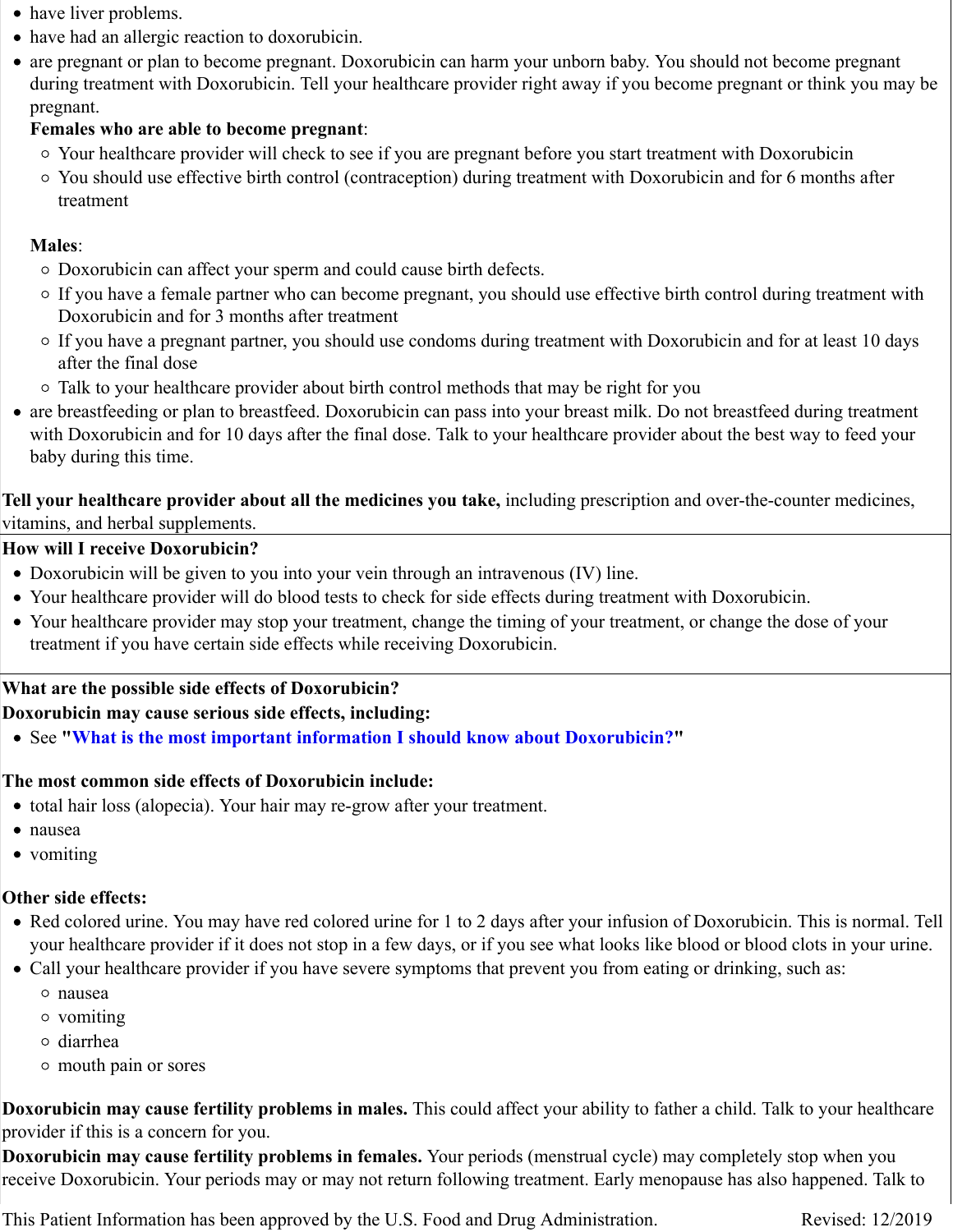- have liver problems.
- have had an allergic reaction to doxorubicin.
- are pregnant or plan to become pregnant. Doxorubicin can harm your unborn baby. You should not become pregnant during treatment with Doxorubicin. Tell your healthcare provider right away if you become pregnant or think you may be pregnant.

## **Females who are able to become pregnant**:

- Your healthcare provider will check to see if you are pregnant before you start treatment with Doxorubicin
- You should use effective birth control (contraception) during treatment with Doxorubicin and for 6 months after treatment

#### **Males**:

- Doxorubicin can affect your sperm and could cause birth defects.
- If you have a female partner who can become pregnant, you should use effective birth control during treatment with Doxorubicin and for 3 months after treatment
- If you have a pregnant partner, you should use condoms during treatment with Doxorubicin and for at least 10 days after the final dose
- Talk to your healthcare provider about birth control methods that may be right for you
- are breastfeeding or plan to breastfeed. Doxorubicin can pass into your breast milk. Do not breastfeed during treatment with Doxorubicin and for 10 days after the final dose. Talk to your healthcare provider about the best way to feed your baby during this time.

**Tell your healthcare provider about all the medicines you take,** including prescription and over-the-counter medicines, vitamins, and herbal supplements.

#### **How will I receive Doxorubicin?**

- Doxorubicin will be given to you into your vein through an intravenous (IV) line.
- Your healthcare provider will do blood tests to check for side effects during treatment with Doxorubicin.
- Your healthcare provider may stop your treatment, change the timing of your treatment, or change the dose of your treatment if you have certain side effects while receiving Doxorubicin.

## **What are the possible side effects of Doxorubicin?**

**Doxorubicin may cause serious side effects, including:**

See **"What is the most important information I should know about Doxorubicin?"**

#### **The most common side effects of Doxorubicin include:**

- total hair loss (alopecia). Your hair may re-grow after your treatment.
- nausea
- vomiting

## **Other side effects:**

- Red colored urine. You may have red colored urine for 1 to 2 days after your infusion of Doxorubicin. This is normal. Tell your healthcare provider if it does not stop in a few days, or if you see what looks like blood or blood clots in your urine.
- Call your healthcare provider if you have severe symptoms that prevent you from eating or drinking, such as:
	- nausea
	- vomiting
	- diarrhea
	- mouth pain or sores

**Doxorubicin may cause fertility problems in males.** This could affect your ability to father a child. Talk to your healthcare provider if this is a concern for you.

**Doxorubicin may cause fertility problems in females.** Your periods (menstrual cycle) may completely stop when you receive Doxorubicin. Your periods may or may not return following treatment. Early menopause has also happened. Talk to

This Patient Information has been approved by the U.S. Food and Drug Administration. Revised: 12/2019